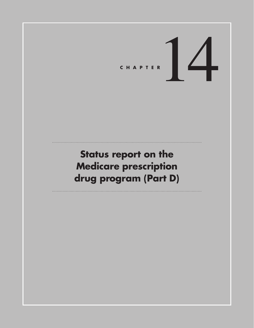# CHAPTER<sup>1</sup>

# **Status report on the Medicare prescription drug program (Part D)**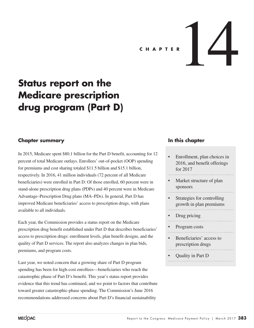# C H A P T E R  $\left| \right|$

# **Status report on the Medicare prescription drug program (Part D)**

# **Chapter summary**

In 2015, Medicare spent \$80.1 billion for the Part D benefit, accounting for 12 percent of total Medicare outlays. Enrollees' out-of-pocket (OOP) spending for premiums and cost sharing totaled \$11.5 billion and \$15.1 billion, respectively. In 2016, 41 million individuals (72 percent of all Medicare beneficiaries) were enrolled in Part D: Of those enrolled, 60 percent were in stand-alone prescription drug plans (PDPs) and 40 percent were in Medicare Advantage–Prescription Drug plans (MA–PDs). In general, Part D has improved Medicare beneficiaries' access to prescription drugs, with plans available to all individuals.

Each year, the Commission provides a status report on the Medicare prescription drug benefit established under Part D that describes beneficiaries' access to prescription drugs: enrollment levels, plan benefit designs, and the quality of Part D services. The report also analyzes changes in plan bids, premiums, and program costs.

Last year, we noted concern that a growing share of Part D program spending has been for high-cost enrollees—beneficiaries who reach the catastrophic phase of Part D's benefit. This year's status report provides evidence that this trend has continued, and we point to factors that contribute toward greater catastrophic-phase spending. The Commission's June 2016 recommendations addressed concerns about Part D's financial sustainability

# **In this chapter**

- Enrollment, plan choices in 2016, and benefit offerings for 2017
- Market structure of plan sponsors
- Strategies for controlling growth in plan premiums
- Drug pricing
- Program costs
- Beneficiaries' access to prescription drugs
- Quality in Part D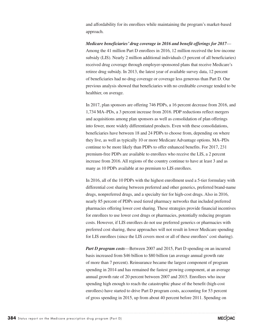and affordability for its enrollees while maintaining the program's market-based approach.

*Medicare beneficiaries' drug coverage in 2016 and benefit offerings for 2017*— Among the 41 million Part D enrollees in 2016, 12 million received the low-income subsidy (LIS). Nearly 2 million additional individuals (3 percent of all beneficiaries) received drug coverage through employer-sponsored plans that receive Medicare's retiree drug subsidy. In 2013, the latest year of available survey data, 12 percent of beneficiaries had no drug coverage or coverage less generous than Part D. Our previous analysis showed that beneficiaries with no creditable coverage tended to be healthier, on average.

In 2017, plan sponsors are offering 746 PDPs, a 16 percent decrease from 2016, and 1,734 MA–PDs, a 3 percent increase from 2016. PDP reductions reflect mergers and acquisitions among plan sponsors as well as consolidation of plan offerings into fewer, more widely differentiated products. Even with these consolidations, beneficiaries have between 18 and 24 PDPs to choose from, depending on where they live, as well as typically 10 or more Medicare Advantage options. MA–PDs continue to be more likely than PDPs to offer enhanced benefits. For 2017, 231 premium-free PDPs are available to enrollees who receive the LIS, a 2 percent increase from 2016. All regions of the country continue to have at least 3 and as many as 10 PDPs available at no premium to LIS enrollees.

In 2016, all of the 10 PDPs with the highest enrollment used a 5-tier formulary with differential cost sharing between preferred and other generics, preferred brand-name drugs, nonpreferred drugs, and a specialty tier for high-cost drugs. Also in 2016, nearly 85 percent of PDPs used tiered pharmacy networks that included preferred pharmacies offering lower cost sharing. These strategies provide financial incentives for enrollees to use lower cost drugs or pharmacies, potentially reducing program costs. However, if LIS enrollees do not use preferred generics or pharmacies with preferred cost sharing, these approaches will not result in lower Medicare spending for LIS enrollees (since the LIS covers most or all of these enrollees' cost sharing).

*Part D program costs*—Between 2007 and 2015, Part D spending on an incurred basis increased from \$46 billion to \$80 billion (an average annual growth rate of more than 7 percent). Reinsurance became the largest component of program spending in 2014 and has remained the fastest growing component, at an average annual growth rate of 20 percent between 2007 and 2015. Enrollees who incur spending high enough to reach the catastrophic phase of the benefit (high-cost enrollees) have started to drive Part D program costs, accounting for 53 percent of gross spending in 2015, up from about 40 percent before 2011. Spending on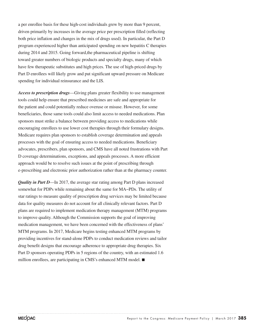a per enrollee basis for these high-cost individuals grew by more than 9 percent, driven primarily by increases in the average price per prescription filled (reflecting both price inflation and changes in the mix of drugs used). In particular, the Part D program experienced higher than anticipated spending on new hepatitis C therapies during 2014 and 2015. Going forward,the pharmaceutical pipeline is shifting toward greater numbers of biologic products and specialty drugs, many of which have few therapeutic substitutes and high prices. The use of high-priced drugs by Part D enrollees will likely grow and put significant upward pressure on Medicare spending for individual reinsurance and the LIS.

*Access to prescription drugs*—Giving plans greater flexibility to use management tools could help ensure that prescribed medicines are safe and appropriate for the patient and could potentially reduce overuse or misuse. However, for some beneficiaries, those same tools could also limit access to needed medications. Plan sponsors must strike a balance between providing access to medications while encouraging enrollees to use lower cost therapies through their formulary designs. Medicare requires plan sponsors to establish coverage determination and appeals processes with the goal of ensuring access to needed medications. Beneficiary advocates, prescribers, plan sponsors, and CMS have all noted frustrations with Part D coverage determinations, exceptions, and appeals processes. A more efficient approach would be to resolve such issues at the point of prescribing through e-prescribing and electronic prior authorization rather than at the pharmacy counter.

*Quality in Part D*—In 2017, the average star rating among Part D plans increased somewhat for PDPs while remaining about the same for MA−PDs. The utility of star ratings to measure quality of prescription drug services may be limited because data for quality measures do not account for all clinically relevant factors. Part D plans are required to implement medication therapy management (MTM) programs to improve quality. Although the Commission supports the goal of improving medication management, we have been concerned with the effectiveness of plans' MTM programs. In 2017, Medicare begins testing enhanced MTM programs by providing incentives for stand-alone PDPs to conduct medication reviews and tailor drug benefit designs that encourage adherence to appropriate drug therapies. Six Part D sponsors operating PDPs in 5 regions of the country, with an estimated 1.6 million enrollees, are participating in CMS's enhanced MTM model. ■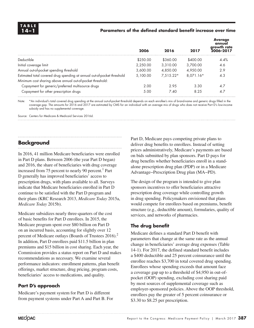# **14–1 Parameters of the defined standard benefit increase over time**

|                                                                                                                                       | 2006     | 2016        | 2017      | <b>Average</b><br>annual<br>growth rate<br>2006-2017 |
|---------------------------------------------------------------------------------------------------------------------------------------|----------|-------------|-----------|------------------------------------------------------|
| Deductible                                                                                                                            | \$250.00 | \$360.00    | \$400.00  | 4.4%                                                 |
| Initial coverage limit                                                                                                                | 2.250.00 | 3,310.00    | 3.700.00  | 4.6                                                  |
| Annual out-of-pocket spending threshold                                                                                               | 3,600.00 | 4.850.00    | 4.950.00  | 2.9                                                  |
| Estimated total covered drug spending at annual out-of-pocket threshold<br>Minimum cost sharing above annual out-of-pocket threshold: | 5.100.00 | $7.515.22*$ | 8.071.16* | 4.3                                                  |
| Copayment for generic/preferred multisource drugs                                                                                     | 2.00     | 2.95        | 3.30      | 4.7                                                  |
| Copayment for other prescription drugs                                                                                                | 5.00     | 7.40        | 8.25      | 4.7                                                  |

Note: \*An individual's total covered drug spending at the annual out-of-pocket threshold depends on each enrollee's mix of brand-name and generic drugs filled in the coverage gap. The amounts for 2016 and 2017 are estimated by CMS for an individual with an average mix of drugs who does not receive Part D's low-income subsidy and has no supplemental coverage.

Source: Centers for Medicare & Medicaid Services 2016d.

# **Background**

In 2016, 41 million Medicare beneficiaries were enrolled in Part D plans. Between 2006 (the year Part D began) and 2016, the share of beneficiaries with drug coverage increased from 75 percent to nearly 90 percent.<sup>1</sup> Part D generally has improved beneficiaries' access to prescription drugs, with plans available to all. Surveys indicate that Medicare beneficiaries enrolled in Part D continue to be satisfied with the Part D program and their plans (KRC Research 2013, *Medicare Today* 2015a, *Medicare Today* 2015b).

Medicare subsidizes nearly three-quarters of the cost of basic benefits for Part D enrollees. In 2015, the Medicare program spent over \$80 billion on Part D on an incurred basis, accounting for slightly over 12 percent of Medicare outlays (Boards of Trustees 2016).<sup>2</sup> In addition, Part D enrollees paid \$11.5 billion in plan premiums and \$15 billion in cost sharing. Each year, the Commission provides a status report on Part D and makes recommendations as necessary. We examine several performance indicators: enrollment patterns, plan benefit offerings, market structure, drug pricing, program costs, beneficiaries' access to medications, and quality.

# **Part D's approach**

Medicare's payment system for Part D is different from payment systems under Part A and Part B. For Part D, Medicare pays competing private plans to deliver drug benefits to enrollees. Instead of setting prices administratively, Medicare's payments are based on bids submitted by plan sponsors. Part D pays for drug benefits whether beneficiaries enroll in a standalone prescription drug plan (PDP) or in a Medicare Advantage−Prescription Drug plan (MA−PD).

The design of the program is intended to give plan sponsors incentives to offer beneficiaries attractive prescription drug coverage while controlling growth in drug spending. Policymakers envisioned that plans would compete for enrollees based on premiums, benefit structure (e.g., deductible amount), formularies, quality of services, and networks of pharmacies.

# **The drug benefit**

Medicare defines a standard Part D benefit with parameters that change at the same rate as the annual change in beneficiaries' average drug expenses (Table 14-1). For 2017, the defined standard benefit includes a \$400 deductible and 25 percent coinsurance until the enrollee reaches \$3,700 in total covered drug spending. Enrollees whose spending exceeds that amount face a coverage gap up to a threshold of \$4,950 in out-ofpocket (OOP) spending, excluding cost sharing paid by most sources of supplemental coverage such as employer-sponsored policies. Above the OOP threshold, enrollees pay the greater of 5 percent coinsurance or \$3.30 to \$8.25 per prescription.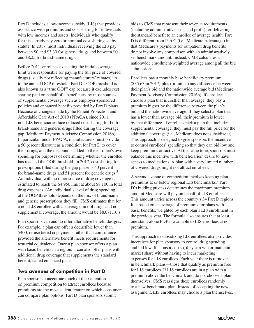Part D includes a low-income subsidy (LIS) that provides assistance with premiums and cost sharing for individuals with low incomes and assets. Individuals who qualify for this subsidy pay zero or nominal cost sharing set by statute. In 2017, most individuals receiving the LIS pay between \$0 and \$3.30 for generic drugs and between \$0 and \$8.25 for brand-name drugs.

Before 2011, enrollees exceeding the initial coverage limit were responsible for paying the full price of covered drugs (usually not reflecting manufacturers' rebates) up to the annual OOP threshold. Part D's OOP threshold is also known as a "true OOP" cap because it excludes cost sharing paid on behalf of a beneficiary by most sources of supplemental coverage such as employer-sponsored policies and enhanced benefits provided by Part D plans. Because of changes made by the Patient Protection and Affordable Care Act of 2010 (PPACA), since 2011, non-LIS beneficiaries face reduced cost sharing for both brand-name and generic drugs filled during the coverage gap (Medicare Payment Advisory Commission 2016b). In particular, under PPACA, manufacturers must provide a 50 percent discount as a condition for Part D to cover their drugs, and the discount is added to the enrollee's own spending for purposes of determining whether the enrollee has reached the OOP threshold. In 2017, cost sharing for prescriptions filled during the gap phase is 40 percent for brand-name drugs and 51 percent for generic drugs.<sup>3</sup> An individual with no other source of drug coverage is estimated to reach the \$4,950 limit at about \$8,100 in total drug expenses. (An individual's level of drug spending at the OOP threshold depends on the mix of brand-name and generic prescriptions they fill. CMS estimates that for a non-LIS enrollee with an average mix of drugs and no supplemental coverage, the amount would be \$8,071.16.)

Plan sponsors can and do offer alternative benefit designs. For example, a plan can offer a deductible lower than \$400, or use tiered copayments rather than coinsurance provided the alternative benefit meets requirements for actuarial equivalence. Once a plan sponsor offers a plan with basic benefits in a region, it can also offer plans with additional drug coverage that supplements the standard benefit, called enhanced plans.

# **Two avenues of competition in Part D**

Plan sponsors concentrate much of their attention on premium competition to attract enrollees because premiums are the most salient feature on which consumers can compare plan options. Part D plan sponsors submit

bids to CMS that represent their revenue requirements (including administrative costs and profit) for delivering the standard benefit to an enrollee of average health. Part D is different from Part C (i.e., Medicare Advantage) in that Medicare's payments for outpatient drug benefits do not involve any comparison with an administratively set benchmark amount. Instead, CMS calculates a nationwide enrollment-weighted average among all the bid submissions.

Enrollees pay a monthly base beneficiary premium (\$35.63 in 2017) plus (or minus) any difference between their plan's bid and the nationwide average bid (Medicare Payment Advisory Commission 2016b). If enrollees choose a plan that is costlier than average, they pay a premium higher by the difference between the plan's bid and the nationwide average. If they select a plan that has a lower than average bid, their premium is lower by that difference. If enrollees pick a plan that includes supplemental coverage, they must pay the full price for the additional coverage (i.e., Medicare does not subsidize it). This approach is designed to give sponsors the incentive to control enrollees' spending so that they can bid low and keep premiums attractive. At the same time, sponsors must balance this incentive with beneficiaries' desire to have access to medications. A plan with a very limited number of covered drugs might not attract enrollees.

A second avenue of competition involves keeping plan premiums at or below regional LIS benchmarks.<sup>4</sup> Part D's bidding process determines the maximum premium amount Medicare will pay on behalf of LIS enrollees. This amount varies across the country's 34 Part D regions. It is based on an average of premiums for plans with basic benefits, weighted by each plan's LIS enrollment in the previous year. The formula also ensures that at least one stand-alone PDP is available to LIS enrollees at no premium.

This approach to subsidizing LIS enrollees also provides incentives for plan sponsors to control drug spending and bid low. If sponsors do so, they can win or maintain market share without having to incur marketing expenses for LIS enrollees. Each year there is turnover in benchmark plans—those that qualify as premium free for LIS enrollees. If LIS enrollees are in a plan with a premium above the benchmark and do not choose a plan themselves, CMS reassigns these enrollees randomly to a new benchmark plan. Instead of accepting the new assignment, LIS enrollees may choose a plan themselves.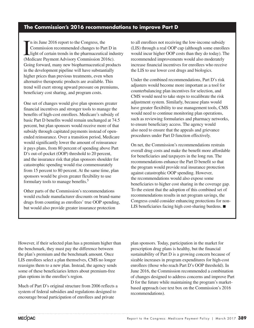# **The Commission's 2016 recommendations to improve Part D**

In its June 2016 report to the Congress, the<br>
Commission recommended changes to Part D in<br>
light of certain trends in the pharmaceutical industry<br>
(Medieve Beyment Advisory Commission 2016s) n its June 2016 report to the Congress, the Commission recommended changes to Part D in (Medicare Payment Advisory Commission 2016c). Going forward, many new biopharmaceutical products in the development pipeline will have substantially higher prices than previous treatments, even when alternative therapeutic products are available. This trend will exert strong upward pressure on premiums, beneficiary cost sharing, and program costs.

One set of changes would give plan sponsors greater financial incentives and stronger tools to manage the benefits of high-cost enrollees. Medicare's subsidy of basic Part D benefits would remain unchanged at 74.5 percent, but plan sponsors would receive more of that subsidy through capitated payments instead of openended reinsurance. Over a transition period, Medicare would significantly lower the amount of reinsurance it pays plans, from 80 percent of spending above Part D's out-of-pocket (OOP) threshold to 20 percent, and the insurance risk that plan sponsors shoulder for catastrophic spending would rise commensurately from 15 percent to 80 percent. At the same time, plan sponsors would be given greater flexibility to use formulary tools to manage benefits.<sup>5</sup>

Other parts of the Commission's recommendations would exclude manufacturer discounts on brand-name drugs from counting as enrollees' true OOP spending, but would also provide greater insurance protection

to all enrollees not receiving the low-income subsidy (LIS) through a real OOP cap (although some enrollees would incur higher OOP costs than they do today). The recommended improvements would also moderately increase financial incentives for enrollees who receive the LIS to use lower cost drugs and biologics.

Under the combined recommendations, Part D's risk adjusters would become more important as a tool for counterbalancing plan incentives for selection, and CMS would need to take steps to recalibrate the risk adjustment system. Similarly, because plans would have greater flexibility to use management tools, CMS would need to continue monitoring plan operations, such as reviewing formularies and pharmacy networks, to ensure beneficiary access. The agency would also need to ensure that the appeals and grievance procedures under Part D function effectively.

On net, the Commission's recommendations restrain overall drug costs and make the benefit more affordable for beneficiaries and taxpayers in the long run. The recommendations enhance the Part D benefit so that the program would provide real insurance protection against catastrophic OOP spending. However, the recommendations would also expose some beneficiaries to higher cost sharing in the coverage gap. To the extent that the adoption of this combined set of recommendations results in net program savings, the Congress could consider enhancing protections for non-LIS beneficiaries facing high cost-sharing burdens. ■

However, if their selected plan has a premium higher than the benchmark, they must pay the difference between the plan's premium and the benchmark amount. Once LIS enrollees select a plan themselves, CMS no longer reassigns them to a new plan. Instead, the agency sends some of these beneficiaries letters about premium-free plan options in the enrollee's region.

Much of Part D's original structure from 2006 reflects a system of federal subsidies and regulations designed to encourage broad participation of enrollees and private

plan sponsors. Today, participation in the market for prescription drug plans is healthy, but the financial sustainability of Part D is a growing concern because of sizable increases in program expenditures for high-cost enrollees (those who reach Part D's OOP threshold). In June 2016, the Commission recommended a combination of changes designed to address concerns and improve Part D for the future while maintaining the program's marketbased approach (see text box on the Commission's 2016 recommendations).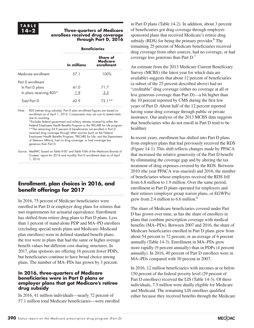### **14–2 Three-quarters of Medicare enrollees received drug coverage through Part D, 2016**

|                                                                 | <b>Beneficiaries</b> |                                           |  |  |  |  |  |
|-----------------------------------------------------------------|----------------------|-------------------------------------------|--|--|--|--|--|
|                                                                 | In millions          | Share of<br><b>Medicare</b><br>enrollment |  |  |  |  |  |
| Medicare enrollment                                             | 57.1                 | 100%                                      |  |  |  |  |  |
| Part D enrollment<br>In Part D plans<br>In plans receiving RDS* | 41.0<br>1.9          | 71.7<br>3.3                               |  |  |  |  |  |
| <b>Total Part D</b>                                             |                      | $/5.1**$                                  |  |  |  |  |  |

Note: RDS (retiree drug subsidy). Part D plan enrollment figures are based on enrollment as of April 1, 2016. Components may not sum to stated totals due to rounding. \*Excludes federal government and military retirees covered by either the

Federal Employees Health Benefits Program or the TRICARE for Life program. \*\*The remaining 24.9 percent of beneficiaries not enrolled in Part D received drug coverage through other sources (such as the Federal Employees Health Benefits Program, TRICARE for Life, and the Department of Veterans Affairs), had no drug coverage, or had coverage less generous than Part D.

Source: MedPAC based on Table IV.B7 and Table V.B4 of the Medicare Boards of Trustees' report for 2016 and monthly Part D enrollment data as of April 1, 2016.

# **Enrollment, plan choices in 2016, and benefit offerings for 2017**

In 2016, 75 percent of Medicare beneficiaries were enrolled in Part D or employer drug plans for retirees that met requirements for actuarial equivalence. Enrollment has shifted from retiree drug plans to Part D plans. Less than 1 percent of stand-alone PDP and MA–PD enrollees (excluding special needs plans and Medicare–Medicaid plan enrollees) were in defined standard benefit plans; the rest were in plans that had the same or higher average benefit values but different cost-sharing structures. In 2017, plan sponsors are offering 16 percent fewer PDPs, but beneficiaries continue to have broad choice among plans. The number of MA–PDs has grown by 3 percent.

# **In 2016, three-quarters of Medicare beneficiaries were in Part D plans or employer plans that got Medicare's retiree drug subsidy**

In 2016, 41 million individuals—nearly 72 percent of 57.1 million total Medicare beneficiaries—were enrolled

in Part D plans (Table 14-2). In addition, about 3 percent of beneficiaries got drug coverage through employersponsored plans that received Medicare's retiree drug subsidy (RDS) for being the primary provider. $6$  The remaining 25 percent of Medicare beneficiaries received drug coverage from other sources, had no coverage, or had coverage less generous than Part D.7

An estimate from the 2013 Medicare Current Beneficiary Survey (MCBS) (the latest year for which data are available) suggests that about 12 percent of beneficiaries (a subset of the 25 percent described above) had no "creditable" drug coverage (either no coverage at all or less generous coverage than Part D)—a bit higher than the 10 percent reported by CMS during the first few years of Part D. About half of the 12 percent reported having some drug coverage through public or private insurance. Our analysis of the 2013 MCBS data suggests that beneficiaries who do not enroll in Part D tend to be healthier.

In recent years, enrollment has shifted into Part D plans from employer plans that had previously received the RDS (Figure 14-1). This shift reflects changes made by PPACA that increased the relative generosity of the Part D benefit by eliminating the coverage gap and by altering the tax treatment of drug expenses covered by the RDS. Between 2010 (the year PPACA was enacted) and 2016, the number of beneficiaries whose employers received the RDS fell from 6.8 million to 1.9 million. Over the same period, enrollment in Part D plans operated for employers and their retirees (employer group waiver plans, or EGWPs) grew from 2.4 million to  $6.6$  million.<sup>8</sup>

The share of Medicare beneficiaries covered under Part D has grown over time, as has the share of enrollees in plans that combine prescription coverage with medical benefits (MA−PDs). Between 2007 and 2016, the share of Medicare beneficiaries enrolled in Part D plans grew from about 54 percent to 72 percent, or an average of 6 percent annually (Table 14-3). Enrollment in MA−PDs grew more rapidly (9 percent annually) than in PDPs (4 percent annually). In 2016, 40 percent of Part D enrollees were in MA−PDs compared with 30 percent in 2007.

In 2016, 12 million beneficiaries with incomes at or below 150 percent of the federal poverty level (29 percent of Part D enrollees) received the LIS (Table 14-3). Of these individuals, 7.5 million were dually eligible for Medicare and Medicaid. The remaining LIS enrollees qualified either because they received benefits through the Medicare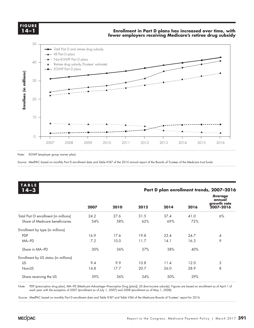**FIGURE FIGURE X-X 14–1**

### **Enrollment in Part D plans has increased over time, with fewer employers receiving Medicare's retiree drug subsidy Title here....**



Note: EGWP (employer group waiver plan).

Source: MedPAC based on monthly Part D enrollment data and Table IV.B7 of the 2016 annual report of the Boards of Trustees of the Medicare trust funds.

| <b>TABLE</b><br>$14 - 3$               |      | Part D plan enrollment trends, 2007-2016 |      |      |      |                                                      |  |  |
|----------------------------------------|------|------------------------------------------|------|------|------|------------------------------------------------------|--|--|
|                                        | 2007 | 2010                                     | 2012 | 2014 | 2016 | <b>Average</b><br>annual<br>growth rate<br>2007-2016 |  |  |
| Total Part D enrollment (in millions)  | 24.2 | 27.6                                     | 31.5 | 37.4 | 41.0 | 6%                                                   |  |  |
| Share of Medicare beneficiaries        | 54%  | 58%                                      | 62%  | 69%  | 72%  |                                                      |  |  |
| Enrollment by type (in millions)       |      |                                          |      |      |      |                                                      |  |  |
| <b>PDP</b>                             | 16.9 | 17.6                                     | 19.8 | 23.4 | 24.7 | 4                                                    |  |  |
| MA-PD                                  | 7.2  | 10.0                                     | 11.7 | 14.1 | 16.3 | 9                                                    |  |  |
| Share in MA-PD                         | 30%  | 36%                                      | 37%  | 38%  | 40%  |                                                      |  |  |
| Enrollment by LIS status (in millions) |      |                                          |      |      |      |                                                      |  |  |
| <b>LIS</b>                             | 9.4  | 9.9                                      | 10.8 | 11.4 | 12.0 | 3                                                    |  |  |
| Non-LIS                                | 14.8 | 17.7                                     | 20.7 | 26.0 | 28.9 | 8                                                    |  |  |
| Share receiving the LIS                | 39%  | 36%                                      | 34%  | 30%  | 29%  |                                                      |  |  |

Note: PDP (prescription drug plan), MA−PD (Medicare Advantage−Prescription Drug [plan]), LIS (low-income subsidy). Figures are based on enrollment as of April 1 of each year with the exception of 2007 (enrollment as of July 1, 2007) and 2008 (enrollment as of May 1, 2008).

Source: MedPAC based on monthly Part D enrollment data and Table IV.B7 and Table V.B4 of the Medicare Boards of Trustees' report for 2016.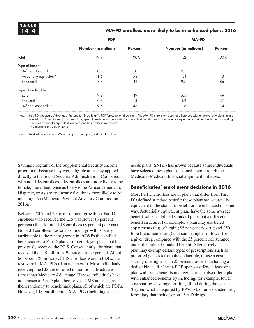# **14–4 MA–PD enrollees more likely to be in enhanced plans, 2016**

|                         | <b>PDP</b>                  |                | <b>MA-PD</b>                |                |  |  |
|-------------------------|-----------------------------|----------------|-----------------------------|----------------|--|--|
|                         | <b>Number (in millions)</b> | <b>Percent</b> | <b>Number (in millions)</b> | <b>Percent</b> |  |  |
| Total                   | 19.9                        | 100%           | 11.2                        | 100%           |  |  |
| Type of benefit         |                             |                |                             |                |  |  |
| Defined standard        | 0.0                         |                | $0^{\circ}$                 |                |  |  |
| Actuarially equivalent* | 11.6                        | 58             | 1.4                         | 13             |  |  |
| Enhanced                | 8.4                         | 42             | 9.7                         | 86             |  |  |
| Type of deductible      |                             |                |                             |                |  |  |
| Zero                    | 9.8                         | 49             | 5.5                         | 49             |  |  |
| Reduced                 | 0.6                         | 3              | 4.2                         | 37             |  |  |
| Defined standard**      | 9.6                         | 48             | 1.6                         | 14             |  |  |

Note: MA–PD (Medicare Advantage–Prescription Drug [plan]), PDP (prescription drug plan). The MA−PD enrollment described here excludes employer-only plans, plans offered in U.S. territories, 1876 cost plans, special needs plans, demonstrations, and Part B–only plans. Components may not sum to stated totals due to rounding. \*Includes actuarially equivalent standard and basic alternative benefits.

\*\*Deductible of \$360 in 2016.

Source: MedPAC analysis of CMS landscape, plan report, and enrollment data.

Savings Programs or the Supplemental Security Income program or because they were eligible after they applied directly to the Social Security Administration. Compared with non-LIS enrollees, LIS enrollees are more likely to be female; more than twice as likely to be African American, Hispanic, or Asian; and nearly five times more likely to be under age 65 (Medicare Payment Advisory Commission 2016a).

Between 2007 and 2016, enrollment growth for Part D enrollees who received the LIS was slower (3 percent per year) than for non-LIS enrollees (8 percent per year). Non-LIS enrollees' faster enrollment growth is partly attributable to the recent growth in EGWPs that shifted beneficiaries to Part D plans from employer plans that had previously received the RDS. Consequently, the share that received the LIS fell from 39 percent to 29 percent. About 66 percent (8 million) of LIS enrollees were in PDPs; the rest were in MA−PDs (data not shown). Most individuals receiving the LIS are enrolled in traditional Medicare rather than Medicare Advantage. If these individuals have not chosen a Part D plan themselves, CMS autoassigns them randomly to benchmark plans, all of which are PDPs. However, LIS enrollment in MA−PDs (including special

needs plans (SNPs)) has grown because some individuals have selected these plans or joined them through the Medicare–Medicaid financial alignment initiative.

# **Beneficiaries' enrollment decisions in 2016**

Most Part D enrollees are in plans that differ from Part D's defined standard benefit; these plans are actuarially equivalent to the standard benefit or are enhanced in some way. Actuarially equivalent plans have the same average benefit value as defined standard plans but a different benefit structure. For example, a plan may use tiered copayments (e.g., charging \$5 per generic drug and \$50 for a brand-name drug) that can be higher or lower for a given drug compared with the 25 percent coinsurance under the defined standard benefit. Alternatively, a plan may exempt certain types of prescriptions such as preferred generics from the deductible, or use a costsharing rate higher than 25 percent rather than having a deductible at all. Once a PDP sponsor offers at least one plan with basic benefits in a region, it can also offer a plan with enhanced benefits by including, for example, lower cost sharing, coverage for drugs filled during the gap (beyond what is required by PPACA), or an expanded drug formulary that includes non–Part D drugs.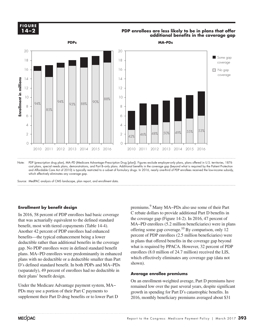# **X-X 14–2FIGURE**

# **PDP** enrollees are less likely to be in plans that offer  $\vert A - 2 \vert$ **additional benefits in the coverage gap**



Note: PDP (prescription drug plan), MA–PD (Medicare Advantage–Prescription Drug [plan]). Figures exclude employer-only plans, plans offered in U.S. territories, 1876 cost plans, special needs plans, demonstrations, and Part B–only plans. Additional benefits in the coverage gap (beyond what is required by the Patient Protection and Affordable Care Act of 2010) is typically restricted to a subset of formulary drugs. In 2016, nearly one-third of PDP enrollees received the low-income subsidy, which effectively eliminates any coverage gap.

Drugs covered in the gap

# **Enrollment by benefit design**

In 2016, 58 percent of PDP enrollees had basic coverage that was actuarially equivalent to the defined standard benefit, most with tiered copayments (Table 14-4). Another 42 percent of PDP enrollees had enhanced benefits—the typical enhancement being a lower deductible rather than additional benefits in the coverage  $\frac{1}{2}$  in plans the gap. No PDP enrollees were in defined standard benefit plans with no deductible or a deductible smaller than Part Prais which is deduction of a deduction simulated than that the black selection of the black selection of the black selection of the black selection of the black selection of the black selection of the black selection of Solution of the data. The contract of the data is the data of the data. their plans' benefit design.  $\blacksquare$ 

Under the Medicare Advantage payment system, MA− PDs may use a portion of their Part C payments to supplement their Part D drug benefits or to lower Part D

premiums.<sup>9</sup> Many MA–PDs also use some of their Part C rebate dollars to provide additional Part D benefits in the coverage gap (Figure 14-2). In 2016, 47 percent of MA−PD enrollees (5.2 million beneficiaries) were in plans offering some gap coverage.<sup>10</sup> By comparison, only 12 percent of PDP enrollees (2.5 million beneficiaries) were in plans that offered benefits in the coverage gap beyond what is required by PPACA. However, 32 percent of PDP enrollees (8.0 million of 24.7 million) received the LIS, which effectively eliminates any coverage gap (data not shown). plans. MA–PD enrollees were predominantly in enhanced enrollees (8.0 million of 24.7 million) received the LIS,

# **Average enrollee premiums**

On an enrollment-weighted average, Part D premiums have remained low over the past several years, despite significant growth in spending for Part D's catastrophic benefits. In 2016, monthly beneficiary premiums averaged about \$31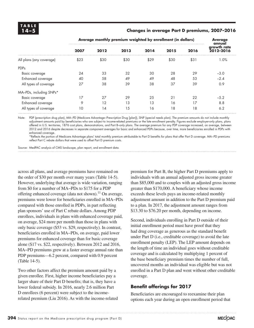# **14–5 Changes in average Part D premiums, 2007–2016**

|                          | Average monthly premium weighted by enrollment (in dollars) | <b>Average</b><br>annual |      |      |      |      |                          |
|--------------------------|-------------------------------------------------------------|--------------------------|------|------|------|------|--------------------------|
|                          | 2007                                                        | 2012                     | 2013 | 2014 | 2015 | 2016 | growth rate<br>2012-2016 |
| All plans (any coverage) | \$23                                                        | \$30                     | \$30 | \$29 | \$30 | \$31 | 1.0%                     |
| <b>PDPs</b>              |                                                             |                          |      |      |      |      |                          |
| Basic coverage           | 24                                                          | 33                       | 32   | 30   | 28   | 29   | $-3.0$                   |
| Enhanced coverage        | 40                                                          | 58                       | 49   | 49   | 48   | 53   | $-2.4$                   |
| All types of coverage    | 27                                                          | 38                       | 39   | 38   | 37   | 39   | 0.9                      |
| MA-PDs, including SNPs*  |                                                             |                          |      |      |      |      |                          |
| Basic coverage           | 17                                                          | 27                       | 29   | 25   | 21   | 22   | $-5.2$                   |
| Enhanced coverage        | 9                                                           | 12                       | 13   | 13   | 16   | 17   | 8.8                      |
| All types of coverage    | 10                                                          | 14                       | 15   | 16   | 18   | 18   | 6.2                      |

Note: PDP (prescription drug plan), MA−PD (Medicare Advantage−Prescription Drug [plan]), SNP (special needs plan). The premium amounts do not include monthly adjustment amounts paid by beneficiaries who are subject to income-related premiums or the late enrollment penalty. Figures exclude employer-only plans, plans offered in U.S. territories, 1876 cost plans, demonstrations, and Part B–only plans. The average premium for any PDP coverage increased, on average, between 2012 and 2016 despite decreases in separate component averages for basic and enhanced PDPs because, over time, more beneficiaries enrolled in PDPs with enhanced coverage.

\*Reflects the portion of Medicare Advantage plans' total monthly premium attributable to Part D benefits for plans that offer Part D coverage. MA−PD premiums reflect Part C rebate dollars that were used to offset Part D premium costs.

Source: MedPAC analysis of CMS landscape, plan report, and enrollment data.

across all plans, and average premiums have remained on the order of \$30 per month over many years (Table 14-5). However, underlying that average is wide variation, ranging from \$0 for a number of MA−PDs to \$175 for a PDP offering enhanced coverage (data not shown).<sup>11</sup> On average, premiums were lower for beneficiaries enrolled in MA−PDs compared with those enrolled in PDPs, in part reflecting plan sponsors' use of Part C rebate dollars. Among PDP enrollees, individuals in plans with enhanced coverage paid, on average, \$24 more per month than those in plans with only basic coverage (\$53 vs. \$29, respectively). In contrast, beneficiaries enrolled in MA−PDs, on average, paid lower premiums for enhanced coverage than for basic coverage alone (\$17 vs. \$22, respectively). Between 2012 and 2016, MA–PD premiums grew at a faster average annual rate than PDP premiums—6.2 percent, compared with 0.9 percent (Table 14-5).

Two other factors affect the premium amount paid by a given enrollee. First, higher income beneficiaries pay a larger share of their Part D benefits; that is, they have a lower federal subsidy. In 2016, nearly 2.6 million Part D enrollees (6 percent) were subject to the incomerelated premium (Liu 2016). As with the income-related

premium for Part B, the higher Part D premiums apply to individuals with an annual adjusted gross income greater than \$85,000 and to couples with an adjusted gross income greater than \$170,000. A beneficiary whose income exceeds these levels pays an income-related monthly adjustment amount in addition to the Part D premium paid to a plan. In 2017, the adjustment amount ranges from \$13.30 to \$76.20 per month, depending on income.

Second, individuals enrolling in Part D outside of their initial enrollment period must have proof that they had drug coverage as generous as the standard benefit under Part D (i.e., creditable coverage) to avoid the late enrollment penalty (LEP). The LEP amount depends on the length of time an individual goes without creditable coverage and is calculated by multiplying 1 percent of the base beneficiary premium times the number of full, uncovered months an individual was eligible but was not enrolled in a Part D plan and went without other creditable coverage.

# **Benefit offerings for 2017**

Beneficiaries are encouraged to reexamine their plan options each year during an open enrollment period that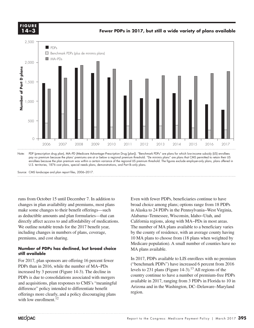**FIGURE 14-4 FIGURE 14–3**

**Fewer PDPs in 2017, but still a wide variety of plans available**

**Numbers of Part D plans...**



Note: PDP (prescription drug plan), MA–PD (Medicare Advantage–Prescription Drug [plan]). "Benchmark PDPs" are plans for which low-income subsidy (LIS) enrollees pay no premium because the plans' premiums are at or below a regional premium threshold. "De minimis plans" are plans that CMS permitted to retain their LIS enrollees because the plan premium was within a certain variance of the regional LIS premium threshold. The figures exclude employer-only plans, plans offered in U.S. territories, 1876 cost plans, special needs plans, demonstrations, and Part B–only plans.

Source: CMS landscape and plan report files, 2006–2017.

runs from October 15 until December 7. In addition to changes in plan availability and premiums, most plans make some changes to their benefit offerings—such as deductible amounts and plan formularies—that can directly affect access to and affordability of medications. We outline notable trends for the 2017 benefit year, The number including changes in numbers of plans, coverage, by the county of resi premiums, and cost sharing. the column total share.

# **still available**

For 2017, plan sponsors are offering 16 percent fewer PDPs than in 2016, while the number of MA−PDs increased by 3 percent (Figure 14-3). The decline in PDPs is due to consolidations associated with mergers  $\frac{1}{2}$ and acquisitions, plan responses to CMS's "meaningful difference" policy intended to differentiate benefit offerings more clearly, and a policy discouraging plans with low enrollment. $^{12}$ 

Even with fewer PDPs, beneficiaries continue to have broad choice among plans; options range from 18 PDPs in Alaska to 24 PDPs in the Pennsylvania−West Virginia, Alabama−Tennessee, Wisconsin, Idaho−Utah, and California regions, along with MA−PDs in most areas. The number of MA plans available to a beneficiary varies by the county of residence, with an average county having 10 MA plans to choose from (18 plans when weighted by Medicare population). A small number of counties have no MA plans available. **Number of PDPs has declined, but broad choice** AMA plans available.

and the legend of the legend of the legend of the legend of the legend of the legend of the legending of the legal so Italya so Italya so Italya so Italya so Italya so Italya so Italya so Italya so Italya so Italya so Ital  $\frac{1}{2}$  or  $\frac{1}{2}$  in 2016 while the number of  $\text{MA}$ -PDs ("benchmark PDPs") have increased 6 percent from 2016 levels to 231 plans (Figure 14-3).<sup>13</sup> All regions of the country continue to have a number of premium-free PDPs available in 2017, ranging from 3 PDPs in Florida to 10 in uisitions, plan responses to CMS structuring turnsdale and in the Washington, DC–Delaware–Maryland can policy intended to differentiate benefit region.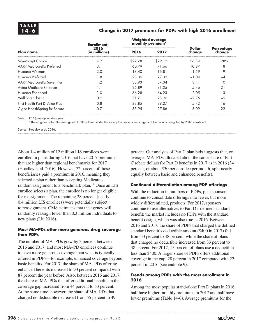# **14–6 Change in 2017 premiums for PDPs with high 2016 enrollment**

|                                | Enrollment,           |         | <b>Weighted average</b><br>monthly premium* |                  |                             |  |
|--------------------------------|-----------------------|---------|---------------------------------------------|------------------|-----------------------------|--|
| <b>Plan name</b>               | 2016<br>(in millions) | 2016    | 2017                                        | Dollar<br>change | <b>Percentage</b><br>change |  |
| SilverScript Choice            | 4.2                   | \$22.78 | \$29.12                                     | \$6.34           | 28%                         |  |
| AARP MedicareRx Preferred      | 3.1                   | 60.79   | 71.66                                       | 10.87            | 18                          |  |
| Humana Walmart                 | 2.0                   | 18.40   | 16.81                                       | $-1.59$          | $-9$                        |  |
| Humana Preferred               | 1.8                   | 28.36   | 27.32                                       | $-1.04$          | $-4$                        |  |
| AARP MedicareRx Saver Plus     | 1.2                   | 33.93   | 37.34                                       | 3.41             | 10                          |  |
| Aetha Medicare Rx Saver        | 1.1                   | 25.89   | 31.35                                       | 5.46             | 21                          |  |
| Humana Enhanced                | 1.0                   | 66.28   | 64.23                                       | $-2.05$          | $-3$                        |  |
| WellCare Classic               | 0.9                   | 31.71   | 28.96                                       | $-2.75$          | $-9$                        |  |
| First Health Part D Value Plus | 0.8                   | 33.85   | 39.27                                       | 5.42             | 16                          |  |
| Cigna-Health Spring Rx Secure  | 0.7                   | 35.95   | 27.86                                       | $-8.09$          | $-22$                       |  |

Note: PDP (prescription drug plan).

\*These figures reflect the average of all PDPs offered under the same plan name in each region of the country, weighted by 2016 enrollment.

Source: Hoadley et al. 2016.

About 1.4 million of 12 million LIS enrollees were enrolled in plans during 2016 that have 2017 premiums that are higher than regional benchmarks for 2017 (Hoadley et al. 2016). However, 72 percent of those beneficiaries paid a premium in 2016, meaning they selected a plan rather than accepting Medicare's random assignment to a benchmark plan.<sup>14</sup> Once an LIS enrollee selects a plan, the enrollee is no longer eligible for reassignment. The remaining 28 percent (nearly 0.4 million LIS enrollees) were potentially subject to reassignment. CMS estimates that the agency will randomly reassign fewer than 0.3 million individuals to new plans (Liu 2016).

# **Most MA–PDs offer more generous drug coverage than PDPs**

The number of MA−PDs grew by 3 percent between 2016 and 2017, and most MA–PD enrollees continue to have more generous coverage than what is typically offered in PDPs—for example, enhanced coverage beyond basic benefits. For 2017, the share of MA−PDs offering enhanced benefits increased to 90 percent compared with 87 percent the year before. Also, between 2016 and 2017, the share of MA−PDs that offer additional benefits in the coverage gap increased from 44 percent to 53 percent. At the same time, however, the share of MA−PDs that charged no deductible decreased from 55 percent to 49

percent. Our analysis of Part C plan bids suggests that, on average, MA–PDs allocated about the same share of Part C rebate dollars for Part D benefits in 2017 as in 2016 (34 percent, or about \$30 per enrollee per month, split nearly equally between basic and enhanced benefits).

# **Continued differentiation among PDP offerings**

With the reduction in numbers of PDPs, plan sponsors continue to consolidate offerings into fewer, but more widely differentiated, products. For 2017, sponsors continue to use alternatives to Part D's defined standard benefit; the market includes no PDPs with the standard benefit design, which was also true in 2016. Between 2016 and 2017, the share of PDPs that charged the defined standard benefit's deductible amount (\$400 in 2017) fell from 53 percent to 48 percent, while the share of plans that charged no deductible increased from 33 percent to 38 percent. For 2017, 15 percent of plans use a deductible less than \$400. A larger share of PDPs offers additional coverage in the gap: 28 percent in 2017 compared with 22 percent in 2016 (see endnote 9).

# **Trends among PDPs with the most enrollment in 2016**

Among the most popular stand-alone Part D plans in 2016, half have higher monthly premiums in 2017 and half have lower premiums (Table 14-6). Average premiums for the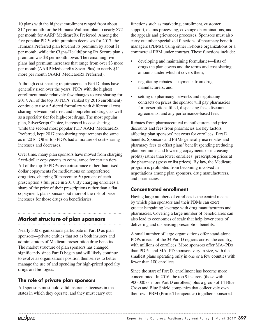10 plans with the highest enrollment ranged from about \$17 per month for the Humana Walmart plan to nearly \$72 per month for AARP MedicareRx Preferred. Among the five popular PDPs with premium decreases for 2017, the Humana Preferred plan lowered its premium by about \$1 per month, while the Cigna-HealthSpring Rx Secure plan's premium was \$8 per month lower. The remaining five plans had premium increases that range from over \$3 more per month (AARP MedicareRx Saver Plus) to nearly \$11 more per month (AARP MedicareRx Preferred).

Although cost-sharing requirements in Part D plans have generally risen over the years, PDPs with the highest enrollment made relatively few changes to cost sharing for 2017. All of the top 10 PDPs (ranked by 2016 enrollment) continue to use a 5-tiered formulary with differential cost sharing between preferred and nonpreferred drugs, as well as a specialty tier for high-cost drugs. The most popular plan, SilverScript Choice, increased its cost sharing while the second most popular PDP, AARP MedicareRx Preferred, kept 2017 cost-sharing requirements the same as in 2016. Other top PDPs had a mixture of cost-sharing increases and decreases.

Over time, many plan sponsors have moved from charging fixed-dollar copayments to coinsurance for certain tiers. All of the top 10 PDPs use coinsurance rather than fixeddollar copayments for medications on nonpreferred drug tiers, charging 30 percent to 50 percent of each prescription's full price in 2017. By charging enrollees a share of the price of their prescriptions rather than a flat copayment, plan sponsors put more of the risk of price increases for those drugs on beneficiaries.

# **Market structure of plan sponsors**

Nearly 300 organizations participate in Part D as plan sponsors—private entities that act as both insurers and administrators of Medicare prescription drug benefits. The market structure of plan sponsors has changed significantly since Part D began and will likely continue to evolve as organizations position themselves to better manage the use of and spending for high-priced specialty drugs and biologics.

# **The role of private plan sponsors**

All sponsors must hold valid insurance licenses in the states in which they operate, and they must carry out

functions such as marketing, enrollment, customer support, claims processing, coverage determinations, and the appeals and grievances processes. Sponsors must also carry out other specialized functions of pharmacy benefit managers (PBMs), using either in-house organizations or a commercial PBM under contract. These functions include:

- developing and maintaining formularies—lists of drugs the plan covers and the terms and cost-sharing amounts under which it covers them;
- negotiating rebates—payments from drug manufacturers; and
- setting up pharmacy networks and negotiating contracts on prices the sponsor will pay pharmacies for prescriptions filled, dispensing fees, discount agreements, and any performance-based fees.

Rebates from pharmaceutical manufacturers and price discounts and fees from pharmacies are key factors affecting plan sponsors' net costs for enrollees' Part D benefits. Sponsors and PBMs generally use rebates and pharmacy fees to offset plans' benefit spending (reducing plan premiums and lowering copayments or increasing profits) rather than lower enrollees' prescription prices at the pharmacy (gross or list prices). By law, the Medicare program is prohibited from becoming involved in negotiations among plan sponsors, drug manufacturers, and pharmacies.

# **Concentrated enrollment**

Having large numbers of enrollees is the central means by which plan sponsors and their PBMs can exert greater bargaining leverage with drug manufacturers and pharmacies. Covering a large number of beneficiaries can also lead to economies of scale that help lower costs of delivering and dispensing prescription benefits.

A small number of large organizations offer stand-alone PDPs in each of the 34 Part D regions across the country, with millions of enrollees. More sponsors offer MA−PDs than PDPs, and MA−PD sponsors vary in size, with the smallest plans operating only in one or a few counties with fewer than 100 enrollees.

Since the start of Part D, enrollment has become more concentrated. In 2016, the top 9 insurers (those with 900,000 or more Part D enrollees) plus a group of 14 Blue Cross and Blue Shield companies that collectively own their own PBM (Prime Therapeutics) together sponsored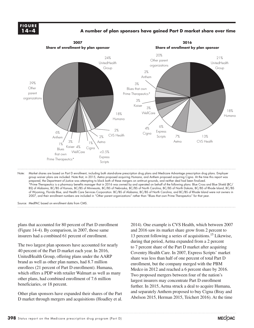# **FIGURE FIGURE X-X 14–4**

# **A number of plan sponsors have gained Part D market share over time Medicare population**



Note: Market shares are based on Part D enrollment, including both stand-alone prescription drug plans and Medicare Advantage prescription drug plans. Employer group waiver plans are included. Note that, in 2015, Aetna proposed acquiring Humana, and Anthem proposed acquiring Cigna. At the time this report was prepared, the Department of Justice was attempting to block both of these mergers on antitrust grounds, and neither deal had been finalized. \*Prime Therapeutics is a pharmacy benefits manager that in 2016 was owned by and operated on behalf of the following plans: Blue Cross and Blue Shield (BC/ BS) of Alabama, BC/BS of Kansas, BC/BS of Minnesota, BC/BS of Nebraska, BC/BS of North Carolina, BC/BS of North Dakota, BC/BS of Rhode Island, BC/BS of Wyoming, Florida Blue, and Health Care Services Corporation. BC/BS of Alabama, BC/BS of North Carolina, and BC/BS of Rhode Island were not owners in 2007, and their enrollment numbers are included in "Other parent organizations" rather than "Blues that own Prime Therapeutics" for that year.

Source: MedPAC based on enrollment data from CMS.

plans that accounted for 80 percent of Part D enrollment (Figure 14-4). By comparison, in 2007, those same insurers had a combined 61 percent of enrollment.

The two largest plan sponsors have accounted for nearly 40 percent of the Part D market each year. In 2016, UnitedHealth Group, offering plans under the AARP brand as well as other plan names, had 8.7 million enrollees (21 percent of Part D enrollment). Humana, which offers a PDP with retailer Walmart as well as many other plans, had combined enrollment of 7.6 million beneficiaries, or 18 percent.

Other plan sponsors have expanded their shares of the Part D market through mergers and acquisitions (Hoadley et al.

2014). One example is CVS Health, which between 2007 and 2016 saw its market share grow from 2 percent to 13 percent following a series of acquisitions.<sup>15</sup> Likewise, during that period, Aetna expanded from a 2 percent to 7 percent share of the Part D market after acquiring Coventry Health Care. In 2007, Express Scripts' market share was less than half of one percent of total Part D enrollment, but the company merged with the PBM Medco in 2012 and reached a 6 percent share by 2016. Two proposed mergers between four of the nation's largest insurers may concentrate Part D enrollment further. In 2015, Aetna struck a deal to acquire Humana, and separately Anthem proposed to buy Cigna (Bray and Abelson 2015, Herman 2015, Teichert 2016). At the time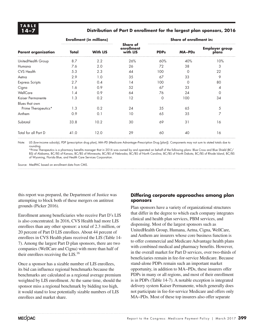# **14–7 Distribution of Part D enrollment for the largest plan sponsors, 2016**

|                            |       | <b>Enrollment (in millions)</b> |                                           | <b>Share of enrollment in:</b> |               |                                |  |
|----------------------------|-------|---------------------------------|-------------------------------------------|--------------------------------|---------------|--------------------------------|--|
| <b>Parent organization</b> | Total | <b>With LIS</b>                 | <b>Share of</b><br>enrollment<br>with LIS | <b>PDPs</b>                    | <b>MA-PDs</b> | <b>Employer group</b><br>plans |  |
| UnitedHealth Group         | 8.7   | 2.2                             | 26%                                       | 60%                            | 40%           | 10%                            |  |
| Humana                     | 7.6   | 2.0                             | 26                                        | 72                             | 38            | 3                              |  |
| CVS Health                 | 5.3   | 2.3                             | 44                                        | 100                            | 0             | 22                             |  |
| Aetna                      | 2.9   | 1.0                             | 35                                        | 67                             | 33            | 9                              |  |
| <b>Express Scripts</b>     | 2.7   | 0.4                             | 14                                        | 100                            | 0             | 80                             |  |
| Cigna                      | 1.6   | 0.9                             | 52                                        | 67                             | 33            | 4                              |  |
| WellCare                   | 1.4   | 0.9                             | 64                                        | 76                             | 24            | $\Omega$                       |  |
| Kaiser Permanente          | 1.3   | 0.2                             | 12                                        | $\Omega$                       | 100           | 34                             |  |
| Blues that own             |       |                                 |                                           |                                |               |                                |  |
| Prime Therapeutics*        | 1.3   | 0.2                             | 24                                        | 35                             | 65            | 5                              |  |
| Anthem                     | 0.9   | 0.1                             | 10                                        | 65                             | 35            | 7                              |  |
| Subtotal                   | 33.8  | 10.2                            | 30                                        | 69                             | 31            | 16                             |  |
| Total for all Part D       | 41.0  | 12.0                            | 29                                        | 60                             | 40            | 16                             |  |

Note: LIS (low-income subsidy), PDP (prescription drug plan), MA–PD (Medicare Advantage–Prescription Drug [plan]). Components may not sum to stated totals due to rounding.

\*Prime Therapeutics is a pharmacy benefits manager that in 2016 was owned by and operated on behalf of the following plans: Blue Cross and Blue Shield (BC/ BS) of Alabama, BC/BS of Kansas, BC/BS of Minnesota, BC/BS of Nebraska, BC/BS of North Carolina, BC/BS of North Dakota, BC/BS of Rhode Island, BC/BS of Wyoming, Florida Blue, and Health Care Services Corporation.

Source: MedPAC based on enrollment data from CMS.

this report was prepared, the Department of Justice was attempting to block both of these mergers on antitrust grounds (Picker 2016).

Enrollment among beneficiaries who receive Part D's LIS is also concentrated. In 2016, CVS Health had more LIS enrollees than any other sponsor: a total of 2.3 million, or 20 percent of Part D LIS enrollees. About 44 percent of enrollees in CVS Health plans received the LIS (Table 14- 7). Among the largest Part D plan sponsors, there are two companies (WellCare and Cigna) with more than half of their enrollees receiving the  $LIS$ <sup>16</sup>

Once a sponsor has a sizable number of LIS enrollees, its bid can influence regional benchmarks because the benchmarks are calculated as a regional average premium weighted by LIS enrollment. At the same time, should the sponsor miss a regional benchmark by bidding too high, it would stand to lose potentially sizable numbers of LIS enrollees and market share.

# **Differing corporate approaches among plan sponsors**

Plan sponsors have a variety of organizational structures that differ in the degree to which each company integrates clinical and health plan services, PBM services, and dispensing. Most of the largest sponsors such as UnitedHealth Group, Humana, Aetna, Cigna, WellCare, and Anthem are insurers whose core business function is to offer commercial and Medicare Advantage health plans with combined medical and pharmacy benefits. However, in the overall market for Part D services, over two-thirds of beneficiaries remain in fee-for-service Medicare. Because stand-alone PDPs remain such an important market opportunity, in addition to MA−PDs, these insurers offer PDPs in many or all regions, and most of their enrollment is in PDPs (Table 14-7). A notable exception is integrated delivery system Kaiser Permanente, which generally does not participate in fee-for-service Medicare and offers only MA−PDs. Most of these top insurers also offer separate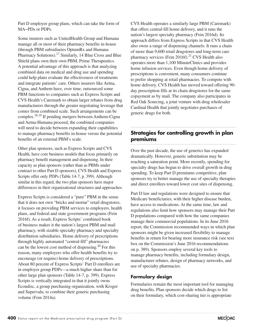Part D employer group plans, which can take the form of MA−PDs or PDPs.

Some insurers such as UnitedHealth Group and Humana manage all or most of their pharmacy benefits in-house (through PBM subsidiaries OptumRx and Humana Pharmacy Solutions).<sup>17</sup> Similarly, 14 Blue Cross and Blue Shield plans own their own PBM, Prime Therapeutics. A potential advantage of this approach is that analyzing combined data on medical and drug use and spending could help plans evaluate the effectiveness of treatments and integrate patients' care. Others insurers like Aetna, Cigna, and Anthem have, over time, outsourced some PBM functions to companies such as Express Scripts and CVS Health's Caremark to obtain larger rebates from drug manufacturers through the greater negotiating leverage that comes from combined scale. Such arrangements can be complex.18,19 If pending mergers between Anthem-Cigna and Aetna-Humana proceed, the combined companies will need to decide between expanding their capabilities to manage pharmacy benefits in-house versus the potential benefits of an external PBM's scale.

Other plan sponsors, such as Express Scripts and CVS Health, have core business models that focus primarily on pharmacy benefit management and dispensing. In their capacity as plan sponsors (rather than as PBMs under contract to other Part D sponsors), CVS Health and Express Scripts offer only PDPs (Table 14-7, p. 399). Although similar in this regard, the two plan sponsors have major differences in their organizational structures and approaches.

Express Scripts is considered a "pure" PBM in the sense that it does not own "bricks and mortar" retail drugstores; it focuses on providing PBM services to employers, health plans, and federal and state government programs (Fein 2016f). As a result, Express Scripts' combined book of business makes it the nation's largest PBM and mail pharmacy, with sizable specialty pharmacy and specialty distribution subsidiaries. Home delivery of prescriptions through highly automated "central-fill" pharmacies can be the lowest cost method of dispensing.20 For this reason, many employers who offer health benefits try to encourage (or require) home delivery of prescriptions. About 80 percent of Express Scripts' Part D enrollees are in employer group PDPs—a much higher share than for other large plan sponsors (Table 14-7, p. 399). Express Scripts is vertically integrated in that it jointly owns Econdisc, a group purchasing organization, with Kroger and Supervalu, to combine their generic purchasing volume (Fein 2014a).

CVS Health operates a similarly large PBM (Caremark) that offers central-fill home delivery, and it runs the nation's largest specialty pharmacy (Fein 2016d). Its approach differs from Express Scripts in that CVS Health also owns a range of dispensing channels: It runs a chain of more than 9,600 retail drugstores and long-term care pharmacy services (Fein 2016f).<sup>21</sup> CVS Health also operates more than 1,100 MinuteClinics and provides home infusion services. Even though home delivery of prescriptions is convenient, many consumers continue to prefer shopping at retail pharmacies. To compete with home delivery, CVS Health has moved toward offering 90 day prescription fills at its chain drugstores for the same copayment as by mail. The company also participates in Red Oak Sourcing, a joint venture with drug wholesaler Cardinal Health that jointly negotiates purchases of generic drugs for both.

# **Strategies for controlling growth in plan premiums**

Over the past decade, the use of generics has expanded dramatically. However, generic substitution may be reaching a saturation point. More recently, spending for specialty drugs has begun to drive overall growth in drug spending. To keep Part D premiums competitive, plan sponsors try to better manage the use of specialty therapies and direct enrollees toward lower cost sites of dispensing.

Part D law and regulations were designed to ensure that Medicare beneficiaries, with their higher disease burden, have access to medications. At the same time, law and regulations also limit how sponsors may manage their Part D populations compared with how the same companies manage their commercial populations. In its June 2016 report, the Commission recommended ways in which plan sponsors might be given increased flexibility to manage benefits in return for bearing more insurance risk (see text box on the Commission's June 2016 recommendations on p. 389). Sponsors employ several key tools to manage pharmacy benefits, including formulary design, manufacturer rebates, design of pharmacy networks, and use of specialty pharmacies.

# **Formulary design**

Formularies remain the most important tool for managing drug benefits. Plan sponsors decide which drugs to list on their formulary, which cost-sharing tier is appropriate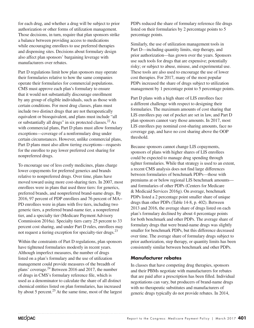for each drug, and whether a drug will be subject to prior authorization or other forms of utilization management. Those decisions, in turn, require that plan sponsors strike a balance between providing access to medications while encouraging enrollees to use preferred therapies and dispensing sites. Decisions about formulary design also affect plan sponsors' bargaining leverage with manufacturers over rebates.

Part D regulations limit how plan sponsors may operate their formularies relative to how the same companies operate their formularies for commercial populations. CMS must approve each plan's formulary to ensure that it would not substantially discourage enrollment by any group of eligible individuals, such as those with certain conditions. For most drug classes, plans must include two distinct drugs that are not therapeutically equivalent or bioequivalent, and plans must include "all or substantially all drugs" in six protected classes.<sup>22</sup> As with commercial plans, Part D plans must allow formulary exceptions—coverage of a nonformulary drug under certain circumstances. However, unlike commercial plans, Part D plans must also allow tiering exceptions—requests for the enrollee to pay lower preferred cost sharing for nonpreferred drugs.

To encourage use of less costly medicines, plans charge lower copayments for preferred generics and brands relative to nonpreferred drugs. Over time, plans have moved toward using more cost-sharing tiers. In 2007, most enrollees were in plans that used three tiers: for generics, preferred brands, and nonpreferred brand-name drugs. By 2016, 97 percent of PDP enrollees and 76 percent of MA− PD enrollees were in plans with five tiers, including two generic tiers, a preferred brand-name tier, a nonpreferred tier, and a specialty tier (Medicare Payment Advisory Commission 2016a). Specialty tiers carry 25 percent to 33 percent cost sharing, and under Part D rules, enrollees may not request a tiering exception for specialty-tier drugs.23

Within the constraints of Part D regulations, plan sponsors have tightened formularies modestly in recent years. Although imperfect measures, the number of drugs listed on a plan's formulary and the use of utilization management could provide measures of the breadth of plans' coverage.24 Between 2016 and 2017, the number of drugs in CMS's formulary reference file, which is used as a denominator to calculate the share of all distinct chemical entities listed on plan formularies, has increased by about 5 percent.25 At the same time, most of the largest

PDPs reduced the share of formulary reference file drugs listed on their formularies by 2 percentage points to 5 percentage points.

Similarly, the use of utilization management tools in Part D—including quantity limits, step therapy, and prior authorization—has grown over the years. Sponsors use such tools for drugs that are expensive; potentially risky; or subject to abuse, misuse, and experimental use. These tools are also used to encourage the use of lower cost therapies. For 2017, many of the most popular PDPs increased the share of drugs subject to utilization management by 1 percentage point to 5 percentage points.

Part D plans with a high share of LIS enrollees face a different challenge with respect to designing their formularies. The maximum amounts of cost sharing that LIS enrollees pay out of pocket are set in law, and Part D plan sponsors cannot vary those amounts. In 2017, most LIS enrollees pay nominal cost-sharing amounts, face no coverage gap, and have no cost sharing above the OOP threshold.

Because sponsors cannot change LIS copayments, sponsors of plans with higher shares of LIS enrollees could be expected to manage drug spending through tighter formularies. While that strategy is used to an extent, a recent CMS analysis does not find large differences between formularies of benchmark PDPs—those with premiums at or below regional LIS benchmark amounts and formularies of other PDPs (Centers for Medicare & Medicaid Services 2016g). On average, benchmark PDPs listed a 2 percentage point smaller share of unique drugs than other PDPs (Table 14-8, p. 402). Between 2013 and 2016, the average share of drugs listed on each plan's formulary declined by about 4 percentage points for both benchmark and other PDPs. The average share of formulary drugs that were brand-name drugs was slightly smaller for benchmark PDPs, but this difference decreased over time. The average share of formulary drugs subject to prior authorization, step therapy, or quantity limits has been consistently similar between benchmark and other PDPs.

# **Manufacturer rebates**

In classes that have competing drug therapies, sponsors and their PBMs negotiate with manufacturers for rebates that are paid after a prescription has been filled. Individual negotiations can vary, but producers of brand-name drugs with no therapeutic substitutes and manufacturers of generic drugs typically do not provide rebates. In 2014,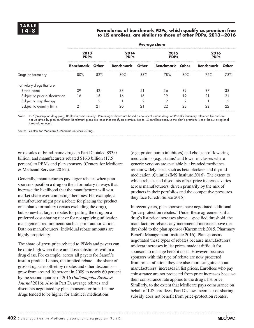# **14–8 Formularies of benchmark PDPs, which qualify as premium free to LIS enrollees, are similar to those of other PDPs, 2013—2016**

| 2013<br><b>PDPs</b> |     |                        | 2014<br><b>PDPs</b> |           | 2015<br><b>PDPs</b>  |                        | 2016<br><b>PDPs</b> |  |  |  |  |
|---------------------|-----|------------------------|---------------------|-----------|----------------------|------------------------|---------------------|--|--|--|--|
|                     |     |                        | Other               |           |                      | Benchmark              | Other               |  |  |  |  |
| 80%                 | 82% | 80%                    | 83%                 | 78%       | 80%                  | 76%                    | 78%                 |  |  |  |  |
|                     |     |                        |                     |           |                      |                        |                     |  |  |  |  |
| 39                  | 42  | 38                     | 41                  | 36        | 39                   | 37                     | 38                  |  |  |  |  |
| 16                  | 15  | 16                     | 16                  | 19        | 19                   | $2^{\circ}$            | 21                  |  |  |  |  |
|                     | っ   |                        | っ                   | ⌒         | ◠                    |                        |                     |  |  |  |  |
| 21                  | 21  | 20                     | 21                  | 22        | 23                   | 22                     | 22                  |  |  |  |  |
|                     |     | <b>Benchmark Other</b> |                     | Benchmark | <b>Average share</b> | <b>Benchmark Other</b> |                     |  |  |  |  |

Note: PDP (prescription drug plan), LIS (low-income subsidy). Percentages shown are based on counts of unique drugs on Part D's formulary reference file and are not weighted by plan enrollment. Benchmark plans are those that qualify as premium free to LIS enrollees because the plan's premium is at or below a regional threshold amount.

Source: Centers for Medicare & Medicaid Services 2016g.

gross sales of brand-name drugs in Part D totaled \$93.0 billion, and manufacturers rebated \$16.3 billion (17.5 percent) to PBMs and plan sponsors (Centers for Medicare & Medicaid Services 2016a).

Generally, manufacturers pay larger rebates when plan sponsors position a drug on their formulary in ways that increase the likelihood that the manufacturer will win market share over competing therapies. For example, a manufacturer might pay a rebate for placing the product on a plan's formulary (versus excluding the drug), but somewhat larger rebates for putting the drug on a preferred cost-sharing tier or for not applying utilization management requirements such as prior authorization. Data on manufacturers' individual rebate amounts are highly proprietary.

The share of gross price rebated to PBMs and payers can be quite high when there are close substitutes within a drug class. For example, across all payers for Sanofi's insulin product Lantus, the implied rebate—the share of gross drug sales offset by rebates and other discounts grew from around 10 percent in 2009 to nearly 60 percent by the second quarter of 2016 (*Indianapolis Business Journal* 2016). Also in Part D, average rebates and discounts negotiated by plan sponsors for brand-name drugs tended to be higher for antiulcer medications

(e.g., proton pump inhibitors) and cholesterol-lowering medications (e.g., statins) and lower in classes where generic versions are available but branded medicines remain widely used, such as beta blockers and thyroid medication (QuintilesIMS Institute 2016). The extent to which rebates and discounts offset price increases varies across manufacturers, driven primarily by the mix of products in their portfolios and the competitive pressures they face (Credit Suisse 2015).

In recent years, plan sponsors have negotiated additional "price-protection rebates." Under these agreements, if a drug's list price increases above a specified threshold, the manufacturer rebates any incremental increase above the threshold to the plan sponsor (Kaczmarek 2015, Pharmacy Benefit Management Institute 2016). Plan sponsors negotiated these types of rebates because manufacturers' midyear increases in list prices made it difficult for sponsors to manage benefit costs. However, because sponsors with this type of rebate are now protected from price inflation, they are also more sanguine about manufacturers' increases in list prices. Enrollees who pay coinsurance are not protected from price increases because their coinsurance rate applies to the drug's list price. Similarly, to the extent that Medicare pays coinsurance on behalf of LIS enrollees, Part D's low-income cost-sharing subsidy does not benefit from price-protection rebates.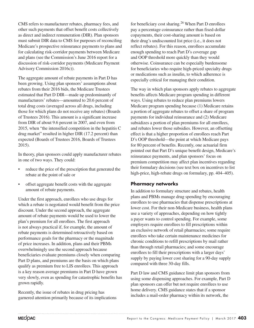CMS refers to manufacturer rebates, pharmacy fees, and other such payments that offset benefit costs collectively as direct and indirect remuneration (DIR). Plan sponsors must submit DIR data to CMS for purposes of reconciling Medicare's prospective reinsurance payments to plans and for calculating risk-corridor payments between Medicare and plans (see the Commission's June 2016 report for a discussion of risk-corridor payments (Medicare Payment Advisory Commission 2016c)).

The aggregate amount of rebate payments in Part D has been growing. Using plan sponsors' assumptions about rebates from their 2016 bids, the Medicare Trustees estimated that Part D DIR—made up predominantly of manufacturers' rebates—amounted to 20.6 percent of total drug costs (averaged across all drugs, including those for which plans do not receive any rebates) (Boards of Trustees 2016). This amount is a significant increase from DIR of about 9.6 percent in 2007, and even from 2015, when "the intensified competition in the hepatitis C drug market" resulted in higher DIR (17.2 percent) than expected (Boards of Trustees 2016, Boards of Trustees 2015).

In theory, plan sponsors could apply manufacturer rebates in one of two ways. They could:

- reduce the price of the prescription that generated the rebate at the point of sale or
- offset aggregate benefit costs with the aggregate amount of rebate payments.

Under the first approach, enrollees who use drugs for which a rebate is negotiated would benefit from the price discount. Under the second approach, the aggregate amount of rebate payments would be used to lower the plan's premium for all enrollees. The first approach is not always practical if, for example, the amount of rebate payments is determined retroactively based on performance goals for the pharmacy or the magnitude of price increases. In addition, plans and their PBMs overwhelmingly use the second approach because beneficiaries evaluate premiums closely when comparing Part D plans, and premiums are the basis on which plans qualify as premium free to LIS enrollees. This approach is a key reason average premiums in Part D have grown very slowly, even as spending for catastrophic benefits has grown rapidly.

Recently, the issue of rebates in drug pricing has garnered attention primarily because of its implications for beneficiary cost sharing.<sup>26</sup> When Part D enrollees pay a percentage coinsurance rather than fixed-dollar copayments, their cost-sharing amount is based on their drug's undiscounted list price (i.e., it does not reflect rebates). For this reason, enrollees accumulate enough spending to reach Part D's coverage gap and OOP threshold more quickly than they would otherwise. Coinsurance can be especially burdensome for beneficiaries who require high-priced specialty drugs or medications such as insulin, to which adherence is especially critical for managing their condition.

The way in which plan sponsors apply rebates to aggregate benefits affects Medicare program spending in different ways. Using rebates to reduce plan premiums lowers Medicare program spending because (1) Medicare retains a portion of aggregate rebates to offset a share of program payments for individual reinsurance and (2) Medicare subsidizes a portion of plan premiums for all enrollees, and rebates lower those subsidies. However, an offsetting effect is that a higher proportion of enrollees reach Part D's OOP threshold—the point at which Medicare pays for 80 percent of benefits. Recently, one actuarial firm pointed out that Part D's unique benefit design, Medicare's reinsurance payments, and plan sponsors' focus on premium competition may affect plan incentives regarding their formulary decisions (see text box on incentives to list high-price, high-rebate drugs on formulary, pp. 404–405).

# **Pharmacy networks**

In addition to formulary structure and rebates, health plans and PBMs manage drug spending by encouraging enrollees to use pharmacies that dispense prescriptions at lower cost. For their non-Medicare business, health plans use a variety of approaches, depending on how tightly a payer wants to control spending. For example, some employers require enrollees to fill prescriptions within an exclusive network of retail pharmacies; some require enrollees who take certain maintenance medicines for chronic conditions to refill prescriptions by mail rather than through retail pharmacies; and some encourage enrollees to fill their prescriptions with a larger days' supply by paying lower cost sharing for a 90-day supply compared with three 30-day fills.

Part D law and CMS guidance limit plan sponsors from using some dispensing approaches. For example, Part D plan sponsors can offer but not require enrollees to use home delivery. CMS guidance states that if a sponsor includes a mail-order pharmacy within its network, the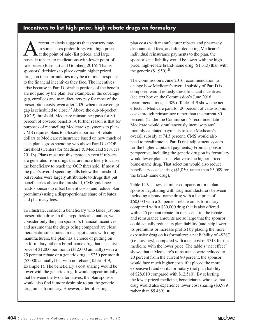# **Incentives to list high-price, high-rebate drugs on formulary**

Frecent analysis suggests that sponsors may<br>
in some cases prefer drugs with high prices<br>
at the point of sale (list prices) and large<br>
analysis to mediations with lower point of in some cases prefer drugs with high prices postsale rebates to medications with lower point-ofsale prices (Barnhart and Gomberg 2016). That is, sponsors' decisions to place certain higher priced drugs on their formularies may be a rational response to the financial incentives they face. The incentives arise because in Part D, sizable portions of the benefit are not paid by the plan. For example, in the coverage gap, enrollees and manufacturers pay for most of the prescription costs, even after 2020 when the coverage gap is scheduled to close.<sup>27</sup> Above the out-of-pocket (OOP) threshold, Medicare reinsurance pays for 80 percent of covered benefits. A further reason is that for purposes of reconciling Medicare's payments to plans, CMS requires plans to allocate a portion of rebate dollars to Medicare reinsurance based on how much of each plan's gross spending was above Part D's OOP threshold (Centers for Medicare & Medicaid Services 2011b). Plans must use this approach even if rebates are generated from drugs that are more likely to cause the beneficiary to reach the OOP threshold. If most of the plan's overall spending falls below the threshold but rebates were largely attributable to drugs that put beneficiaries above the threshold, CMS guidance leads sponsors to offset benefit costs (and reduce plan premiums) using a disproportionate share of rebates and pharmacy fees.

To illustrate, consider a beneficiary who takes just one prescription drug. In this hypothetical situation, we consider only the plan sponsor's financial incentives and assume that the drugs being compared are close therapeutic substitutes. In its negotiations with drug manufacturers, the plan has a choice of putting on its formulary either a brand-name drug that has a list price of \$1,000 per month (\$12,000 annually) with a 25 percent rebate or a generic drug at \$250 per month (\$3,000 annually) but with no rebate (Table 14-9, Example 1). The beneficiary's cost sharing would be lower with the generic drug. It would appear initially that between the two alternatives, the plan sponsor would also find it more desirable to put the generic drug on its formulary. However, after offsetting

plan costs with manufacturer rebates and pharmacy discounts and fees, and after deducting Medicare's individual reinsurance payments to the plan, the sponsor's net liability would be lower with the highprice, high-rebate brand-name drug (\$1,313) than with the generic  $($1,950)$ <sup>28</sup>

The Commission's June 2016 recommendation to change how Medicare's overall subsidy of Part D is composed would remedy these financial incentives (see text box on the Commission's June 2016 recommendations, p. 389). Table 14-9 shows the net effects if Medicare paid for 20 percent of catastrophic costs through reinsurance rather than the current 80 percent. (Under the Commission's recommendations, Medicare would simultaneously increase plans' monthly capitated payments to keep Medicare's overall subsidy at 74.5 percent. CMS would also need to recalibrate its Part D risk adjustment system for the higher capitated payments.) From a sponsor's perspective, including the generic drug on its formulary would lower plan costs relative to the higher priced brand-name drug. That selection would also reduce beneficiary cost sharing (\$1,050, rather than \$3,089 for the brand-name drug).

Table 14-9 shows a similar comparison for a plan sponsor negotiating with drug manufacturers between including a brand-name drug with a list price of \$60,000 with a 25 percent rebate on its formulary compared with a \$30,000 drug that is also offered with a 25 percent rebate. In this scenario, the rebate and reinsurance amounts are so large that the sponsor could actually reduce its plan liability (and help lower its premiums or increase profits) by placing the more expensive drug on its formulary: a net liability of –\$287 (i.e., savings), compared with a net cost of \$713 for the medicine with the lower price. The table's "net effect" shows that if Medicare's reinsurance were reduced to 20 percent from the current 80 percent, the sponsor would face much higher costs if it placed the more expensive brand on its formulary (net plan liability of \$28,010 compared with \$12,510). By selecting the lower priced medicine, beneficiaries who use that drug would also experience lower cost sharing (\$3,989 rather than \$5,489). ■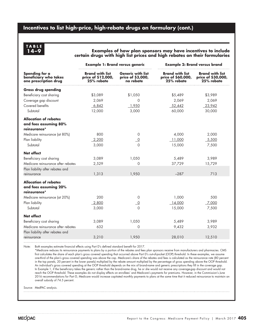# **Incentives to list high-price, high-rebate drugs on formulary (cont.)**

# **TABLE**

### **14–9 Examples of how plan sponsors may have incentives to include certain drugs with high list prices and high rebates on their formularies**

|                                                                       | <b>Example 1: Brand versus generic</b>                     |                                                            | <b>Example 2: Brand versus brand</b>                       |                                                            |  |  |
|-----------------------------------------------------------------------|------------------------------------------------------------|------------------------------------------------------------|------------------------------------------------------------|------------------------------------------------------------|--|--|
| Spending for a<br>beneficiary who takes<br>one prescription drug      | <b>Brand with list</b><br>price of \$12,000,<br>25% rebate | <b>Generic with list</b><br>price of \$3,000,<br>no rebate | <b>Brand with list</b><br>price of \$60,000,<br>25% rebate | <b>Brand with list</b><br>price of \$30,000,<br>25% rebate |  |  |
| <b>Gross drug spending</b>                                            |                                                            |                                                            |                                                            |                                                            |  |  |
| Beneficiary cost sharing                                              | \$3,089                                                    | \$1,050                                                    | \$5,489                                                    | \$3,989                                                    |  |  |
| Coverage gap discount                                                 | 2,069                                                      | 0                                                          | 2,069                                                      | 2,069                                                      |  |  |
| Covered benefits                                                      | 6,842                                                      | 1,950                                                      | 52,442                                                     | 23,942                                                     |  |  |
| Subtotal                                                              | 12,000                                                     | 3,000                                                      | 60,000                                                     | 30,000                                                     |  |  |
| <b>Allocation of rebates</b><br>and fees assuming 80%<br>reinsurance* |                                                            |                                                            |                                                            |                                                            |  |  |
| Medicare reinsurance (at 80%)                                         | 800                                                        | 0                                                          | 4,000                                                      | 2,000                                                      |  |  |
| Plan liability                                                        | 2,200                                                      | $\overline{\phantom{0}}^0$                                 | 11,000                                                     | 5,500                                                      |  |  |
| Subtotal                                                              | 3,000                                                      | $\Omega$                                                   | 15,000                                                     | 7,500                                                      |  |  |
| Net effect                                                            |                                                            |                                                            |                                                            |                                                            |  |  |
| Beneficiary cost sharing                                              | 3,089                                                      | 1,050                                                      | 5,489                                                      | 3,989                                                      |  |  |
| Medicare reinsurance after rebates                                    | 2,529                                                      | $\Omega$                                                   | 37,729                                                     | 15,729                                                     |  |  |
| Plan liability after rebates and<br>reinsurance                       | 1,313                                                      | 1,950                                                      | $-287$                                                     | 713                                                        |  |  |
| <b>Allocation of rebates</b><br>and fees assuming 20%<br>reinsurance* |                                                            |                                                            |                                                            |                                                            |  |  |
| Medicare reinsurance (at 20%)                                         | 200                                                        | 0                                                          | 1,000                                                      | 500                                                        |  |  |
| Plan liability                                                        | 2,800                                                      | $\overline{0}$                                             | 14,000                                                     | 7,000                                                      |  |  |
| Subtotal                                                              | 3,000                                                      | $\Omega$                                                   | 15,000                                                     | 7,500                                                      |  |  |
| Net effect                                                            |                                                            |                                                            |                                                            |                                                            |  |  |
| Beneficiary cost sharing                                              | 3,089                                                      | 1,050                                                      | 5,489                                                      | 3,989                                                      |  |  |
| Medicare reinsurance after rebates                                    | 632                                                        | 0                                                          | 9,432                                                      | 3,932                                                      |  |  |
| Plan liability after rebates and                                      |                                                            |                                                            |                                                            |                                                            |  |  |
| reinsurance                                                           | 3,210                                                      | 1,950                                                      | 28,010                                                     | 12,510                                                     |  |  |

Note: Both examples estimate financial effects using Part D's defined standard benefit for 2017.

\*Medicare reduces its reinsurance payments to plans by a portion of the rebates and fees plan sponsors receive from manufacturers and pharmacies. CMS first calculates the share of each plan's gross covered spending that occurred above Part D's out-of-pocket (OOP) threshold. In these examples, we assume one-third of the plan's gross covered spending was above the cap. Medicare's share of the rebates and fees is calculated as the reinsurance rate (80 percent in the top panels, 20 percent in the lower panels) multiplied by the rebate amount multiplied by the percentage of gross spending above the OOP threshold. An individual's gross covered spending at the OOP threshold depends on the mix of brand-name and generic prescriptions they fill in the coverage gap. In Example 1, if the beneficiary takes the generic rather than the brand-name drug, he or she would not receive any coverage-gap discount and would not reach the OOP threshold. These examples do not display effects on enrollees' and Medicare's payments for premiums. However, in the Commission's June 2016 recommendations for Part D, Medicare would increase capitated monthly payments to plans at the same time that it reduced reinsurance to maintain an overall subsidy of 74.5 percent.

Source: MedPAC analysis.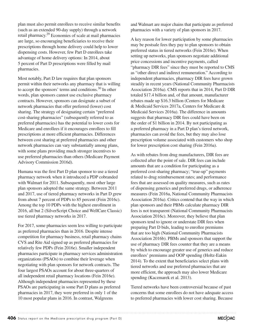plan must also permit enrollees to receive similar benefits (such as an extended 90-day supply) through a network retail pharmacy.29 Economies of scale at mail pharmacies are large, so encouraging beneficiaries to receive their prescriptions through home delivery could help to lower dispensing costs. However, few Part D enrollees take advantage of home delivery options: In 2014, about 5 percent of Part D prescriptions were filled by mail pharmacies.

Most notably, Part D law requires that plan sponsors permit within their networks any pharmacy that is willing to accept the sponsors' terms and conditions.<sup>30</sup> In other words, plan sponsors cannot use exclusive pharmacy contracts. However, sponsors can designate a subset of network pharmacies that offer preferred (lower) cost sharing. The strategy of designating certain "preferred cost-sharing pharmacies" (subsequently referred to as preferred pharmacies) has the potential to lower costs for Medicare and enrollees if it encourages enrollees to fill prescriptions at more efficient pharmacies. Differences between cost sharing at preferred pharmacies and other network pharmacies can vary substantially among plans, with some plans providing much stronger incentives to use preferred pharmacies than others (Medicare Payment Advisory Commission 2016d).

Humana was the first Part D plan sponsor to use a tiered pharmacy network when it introduced a PDP cobranded with Walmart for 2011. Subsequently, most other large plan sponsors adopted the same strategy. Between 2011 and 2017, use of tiered pharmacy networks in Part D grew from about 7 percent of PDPs to 85 percent (Fein 2016c). Among the top 10 PDPs with the highest enrollment in 2016, all but 2 (SilverScript Choice and WellCare Classic) use tiered pharmacy networks in 2017.

For 2017, some pharmacies seem less willing to participate as preferred pharmacies than in 2016. Despite intense competition for pharmacy business, retail pharmacy chains CVS and Rite Aid signed up as preferred pharmacies for relatively few PDPs (Fein 2016e). Smaller independent pharmacies participate in pharmacy services administration organizations (PSAOs) to combine their leverage when negotiating with plan sponsors for network contracts. The four largest PSAOs account for about three-quarters of all independent retail pharmacy locations (Fein 2016e). Although independent pharmacies represented by these PSAOs are participating in some Part D plans as preferred pharmacies in 2017, they were preferred in only 1 of the 10 most popular plans in 2016. In contrast, Walgreens

and Walmart are major chains that participate as preferred pharmacies with a variety of plan sponsors in 2017.

A key reason for lower participation by some pharmacies may be postsale fees they pay to plan sponsors to obtain preferred status in tiered networks (Fein 2016e). When setting up networks, plan sponsors negotiate additional price concessions and incentive payments, called "pharmacy DIR fees" since they must be reported to CMS as "other direct and indirect remuneration." According to independent pharmacies, pharmacy DIR fees have grown steadily in recent years (National Community Pharmacists Association 2016a). CMS reports that in 2014, Part D DIR totaled \$17.4 billion and, of that amount, manufacturer rebates made up \$16.3 billion (Centers for Medicare & Medicaid Services 2017a, Centers for Medicare & Medicaid Services 2016a). The difference in amounts suggests that pharmacy DIR fees could have been on the order of \$1 billion in 2014. By not participating as a preferred pharmacy in a Part D plan's tiered network, pharmacies can avoid the fees, but they may also lose prescription volume associated with customers who shop for lower prescription cost sharing (Fein 2016a).

As with rebates from drug manufacturers, DIR fees are collected after the point of sale. DIR fees can include amounts that are a condition for participating as a preferred cost-sharing pharmacy; "true-up" payments related to drug reimbursement rates; and performance fees that are assessed on quality measures, such as rates of dispensing generics and preferred drugs, or adherence measures (Fein 2016a, National Community Pharmacists Association 2016a). Critics contend that the way in which plan sponsors and their PBMs calculate pharmacy DIR fees is not transparent (National Community Pharmacists Association 2016c). Moreover, they believe that plan sponsors tend to ignore or understate DIR fees when preparing Part D bids, leading to enrollee premiums that are too high (National Community Pharmacists Association 2016b). PBMs and sponsors that support the use of pharmacy DIR fees counter that they are a means by which to encourage greater use of generics and reduce enrollees' premiums and OOP spending (Holtz-Eakin 2014). To the extent that beneficiaries select plans with tiered networks and use preferred pharmacies that are more efficient, the approach may also lower Medicare spending (Kaczmarek et al. 2013).

Tiered networks have been controversial because of past concerns that some enrollees do not have adequate access to preferred pharmacies with lower cost sharing. Because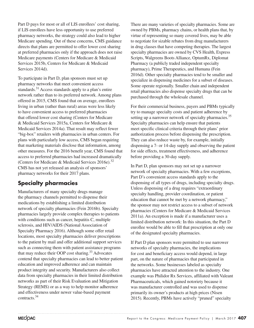Part D pays for most or all of LIS enrollees' cost sharing, if LIS enrollees have less opportunity to use preferred pharmacy networks, the strategy could also lead to higher Medicare spending. Out of these concerns, CMS guidance directs that plans are permitted to offer lower cost sharing at preferred pharmacies only if the approach does not raise Medicare payments (Centers for Medicare & Medicaid Services 2015b, Centers for Medicare & Medicaid Services 2014d).

To participate in Part D, plan sponsors must set up pharmacy networks that meet convenient access standards.<sup>31</sup> Access standards apply to a plan's entire network rather than to its preferred network. Among plans offered in 2015, CMS found that on average, enrollees living in urban (rather than rural) areas were less likely to have convenient access to preferred pharmacies that offered lower cost sharing (Centers for Medicare & Medicaid Services 2015a, Centers for Medicare & Medicaid Services 2014a). That result may reflect fewer "big-box" retailers with pharmacies in urban centers. For plans with particularly low access, CMS began requiring that marketing materials disclose that information, among other measures. For the 2016 benefit year, CMS found that access to preferred pharmacies had increased dramatically (Centers for Medicare & Medicaid Services 2016e).<sup>32</sup> CMS has not yet released an analysis of sponsors' pharmacy networks for their 2017 plans.

# **Specialty pharmacies**

Manufacturers of many specialty drugs manage the pharmacy channels permitted to dispense their medications by establishing a limited distribution network of specialty pharmacies (Fein 2016b). Specialty pharmacies largely provide complex therapies to patients with conditions such as cancer, hepatitis C, multiple sclerosis, and HIV/AIDS (National Association of Specialty Pharmacy 2016). Although some offer retail locations, most specialty pharmacies deliver prescriptions to the patient by mail and offer additional support services such as connecting them with patient assistance programs that may reduce their OOP cost sharing.<sup>33</sup> Advocates contend that specialty pharmacies can lead to better patient education and improved adherence and can maintain product integrity and security. Manufacturers also collect data from specialty pharmacies in their limited distribution networks as part of their Risk Evaluation and Mitigation Strategy (REMS) or as a way to help monitor adherence and effectiveness under newer value-based payment contracts.34

There are many varieties of specialty pharmacies. Some are owned by PBMs, pharmacy chains, or health plans that, by virtue of representing so many covered lives, may be able to negotiate for sizable rebates from drug manufacturers in drug classes that have competing therapies. The largest specialty pharmacies are owned by CVS Health, Express Scripts, Walgreens Boots Alliance, OptumRx, Diplomat Pharmacy (a publicly traded independent specialty pharmacy), Prime Therapeutics, and Humana (Fein 2016d). Other specialty pharmacies tend to be smaller and specialize in dispensing medicines for a subset of diseases. Some operate regionally. Smaller chain and independent retail pharmacies also dispense specialty drugs that can be purchased through the wholesale channel.

For their commercial business, payers and PBMs typically try to manage specialty costs and patient adherence by setting up a narrower network of specialty pharmacies.<sup>35</sup> Specialty pharmacies can help ensure that patients meet specific clinical criteria through their plans' prior authorization process before dispensing the prescription. They can also reduce waste by, for example, initially dispensing a 7- or 14-day supply and observing the patient for side effects, treatment effectiveness, and adherence before providing a 30-day supply.

In Part D, plan sponsors may not set up a narrower network of specialty pharmacies. With a few exceptions, Part D's convenient access standards apply to the dispensing of all types of drugs, including specialty drugs. Unless dispensing of a drug requires "extraordinary specialty handling, provider coordination, or patient education that cannot be met by a network pharmacy," the sponsor may not restrict access to a subset of network pharmacies (Centers for Medicare & Medicaid Services 2011a). An exception is made if a manufacturer uses a limited distribution network: In this situation, the Part D enrollee would be able to fill that prescription at only one of the designated specialty pharmacies.

If Part D plan sponsors were permitted to use narrower networks of specialty pharmacies, the implications for cost and beneficiary access would depend, in large part, on the nature of pharmacies that participated in the networks. Some businesses labeled as specialty pharmacies have attracted attention to the industry. One example was Philidor Rx Services, affiliated with Valeant Pharmaceuticals, which gained notoriety because it was manufacturer controlled and was used to dispense primarily its owner's products at high prices (Nisen 2015). Recently, PBMs have actively "pruned" specialty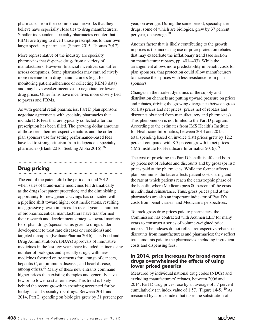pharmacies from their commercial networks that they believe have especially close ties to drug manufacturers. Smaller independent specialty pharmacies counter that PBMs are trying to divert those prescriptions to their own larger specialty pharmacies (Staton 2015, Thomas 2017).

More representative of the industry are specialty pharmacies that dispense drugs from a variety of manufacturers. However, financial incentives can differ across companies. Some pharmacies may earn relatively more revenue from drug manufacturers (e.g., for monitoring patient adherence or collecting REMS data) and may have weaker incentives to negotiate for lower drug prices. Other firms have incentives more closely tied to payers and PBMs.

As with general retail pharmacies, Part D plan sponsors negotiate agreements with specialty pharmacies that include DIR fees that are typically collected after the prescription has been filled. The growing dollar amounts of those fees, their retrospective nature, and the criteria plan sponsors use for setting performance-based fees have led to strong criticism from independent specialty pharmacies (Blank 2016, Seeking Alpha 2016).<sup>36</sup>

# **Drug pricing**

The end of the patent cliff (the period around 2012 when sales of brand-name medicines fell dramatically as the drugs lost patent protection) and the diminishing opportunity for new generic savings has coincided with a pipeline shift toward higher cost medications, resulting in aggressive growth in prices. In recent years, a number of biopharmaceutical manufacturers have transformed their research and development strategies toward markets for orphan drugs (special status given to drugs under development to treat rare diseases or conditions) and targeted therapies (EvaluatePharma 2016). The Food and Drug Administration's (FDA's) approvals of innovative medicines in the last few years have included an increasing number of biologics and specialty drugs, with new medicines focused on treatments for a range of cancers, hepatitis C, autoimmune diseases, and heart disease, among others.<sup>37</sup> Many of these new entrants command higher prices than existing therapies and generally have few or no lower cost alternatives. This trend is likely behind the recent growth in spending accounted for by biologics and specialty-tier drugs. Between 2011 and 2014, Part D spending on biologics grew by 31 percent per year, on average. During the same period, specialty-tier drugs, some of which are biologics, grew by 37 percent per year, on average.38

Another factor that is likely contributing to the growth in prices is the increasing use of price-protection rebates that may exacerbate the inflationary trend (see section on manufacturer rebates, pp. 401–403). While the arrangement allows more predictability in benefit costs for plan sponsors, that protection could allow manufacturers to increase their prices with less resistance from plan sponsors.

Changes in the market dynamics of the supply and distribution channels are putting upward pressure on prices and rebates, driving the growing divergence between gross (or list) prices and net prices (prices net of rebates and discounts obtained from manufacturers and pharmacies). This phenomenon is not limited to the Part D program. According to the estimates from IMS Health's Institute for Healthcare Informatics, between 2014 and 2015, total spending based on invoice (list) prices grew by 12.2 percent compared with 8.5 percent growth in net prices (IMS Institute for Healthcare Informatics 2016).39

The cost of providing the Part D benefit is affected both by prices net of rebates and discounts and by gross (or list) prices paid at the pharmacies. While the former affects plan premiums, the latter affects patient cost sharing and the rate at which patients reach the catastrophic phase of the benefit, where Medicare pays 80 percent of the costs in individual reinsurance. Thus, gross prices paid at the pharmacies are also an important indicator of Part D's costs from beneficiaries' and Medicare's perspectives.

To track gross drug prices paid to pharmacies, the Commission has contracted with Acumen LLC for many years to construct a series of volume-weighted price indexes. The indexes do not reflect retrospective rebates or discounts from manufacturers and pharmacies; they reflect total amounts paid to the pharmacies, including ingredient costs and dispensing fees.

# **In 2014, price increases for brand-name drugs overwhelmed the effects of using lower priced generics**

Measured by individual national drug codes (NDCs) and excluding manufacturers' rebates, between 2006 and 2014, Part D drug prices rose by an average of 57 percent cumulatively (an index value of 1.57) (Figure 14-5). $^{40}$  As measured by a price index that takes the substitution of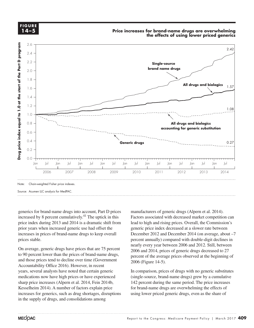

generics for brand-name drugs into account, Part D prices manufacture increased by 8 percent cumulatively.<sup>41</sup> The uptick in this Factors price index during 2013 and 2014 is a dramatic shift from prior years when increased generic use had offset the increases in prices of brand-name drugs to keep overall prices stable.

On average, generic drugs have prices that are 75 percent In average, generic drugs have prices that are 75 percent<br>to 90 percent lower than the prices of brand-name drugs, and those prices tend to decline over time (Government  $\frac{p}{2006}$  (Figure 14.5) Accountability Office 2016). However, in recent  $\frac{1}{2}$ years, several analysts have noted that certain generic medications now have high prices or have experienced sharp price increases (Alpern et al. 2014, Fein 2014b, 142 Kesselheim 2014). A number of factors explain price increases for generics, such as drug shortages, disruptions in the supply of drugs, and consolidations among

manufacturers of generic drugs (Alpern et al. 2014). Factors associated with decreased market competition can index during 2013 and 2014 is a dramatic shift from lead to high and rising prices. Overall, the Commission's generic price index decreased at a slower rate between example the lines with a pattern by and the lines with a pattern by applying graphic styles in the lines with a pattern by applying set in the lines with a pattern by applying styles from the styles from the styles from th stable. **For a pattern (e.g., dotted lines in a line graph)** compared with double-digit declines in  $\frac{1}{2000}$  and 2012. Still, between  $\frac{1}{2000}$  and 2012. Still, between 2006 and 2014, prices of generic drugs decreased to 27 percent of the average prices observed at the beginning of 2006 (Figure 14-5).

> In comparison, prices of drugs with no generic substitutes (single-source, brand-name drugs) grew by a cumulative 142 percent during the same period. The price increases for brand-name drugs are overwhelming the effects of using lower priced generic drugs, even as the share of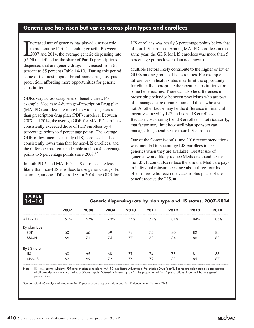# **Generic use has risen but varies across plan types and enrollees**

In moderating Part D spending growth. Between<br>2007 and 2014, the average generic dispensing rate<br>(GDB) defined as the share of Bart D prescriptions ncreased use of generics has played a major role in moderating Part D spending growth. Between (GDR)—defined as the share of Part D prescriptions dispensed that are generic drugs—increased from 61 percent to 85 percent (Table 14-10). During this period, some of the most popular brand-name drugs lost patent protection, affording more opportunities for generic substitution.

GDRs vary across categories of beneficiaries. For example, Medicare Advantage–Prescription Drug plan (MA−PD) enrollees are more likely to use generics than prescription drug plan (PDP) enrollees. Between 2007 and 2014, the average GDR for MA−PD enrollees consistently exceeded those of PDP enrollees by 4 percentage points to 6 percentage points. The average GDR of low-income subsidy (LIS) enrollees has been consistently lower than that for non-LIS enrollees, and the difference has remained stable at about 4 percentage points to 5 percentage points since 2008.<sup>42</sup>

In both PDPs and MA−PDs, LIS enrollees are less likely than non-LIS enrollees to use generic drugs. For example, among PDP enrollees in 2014, the GDR for

LIS enrollees was nearly 3 percentage points below that of non-LIS enrollees. Among MA−PD enrollees in the same year, the GDR for LIS enrollees was more than 5 percentage points lower (data not shown).

Multiple factors likely contribute to the higher or lower GDRs among groups of beneficiaries. For example, differences in health status may limit the opportunity for clinically appropriate therapeutic substitutions for some beneficiaries. There can also be differences in prescribing behavior between physicians who are part of a managed care organization and those who are not. Another factor may be the difference in financial incentives faced by LIS and non-LIS enrollees. Because cost sharing for LIS enrollees is set statutorily, that factor may limit how well plan sponsors can manage drug spending for their LIS enrollees.

One of the Commission's June 2016 recommendations was intended to encourage LIS enrollees to use generics when they are available. Greater use of generics would likely reduce Medicare spending for the LIS. It could also reduce the amount Medicare pays in individual reinsurance since about three-fourths of enrollees who reach the catastrophic phase of the benefit receive the LIS. ■

| <b>TABLE</b><br>$14 - 10$ |      |      |      |      |      |      | Generic dispensing rate by plan type and LIS status, 2007-2014 |      |
|---------------------------|------|------|------|------|------|------|----------------------------------------------------------------|------|
|                           | 2007 | 2008 | 2009 | 2010 | 2011 | 2012 | 2013                                                           | 2014 |
| All Part D                | 61%  | 67%  | 70%  | 74%  | 77%  | 81%  | 84%                                                            | 85%  |
| By plan type              |      |      |      |      |      |      |                                                                |      |
| <b>PDP</b>                | 60   | 66   | 69   | 72   | 75   | 80   | 82                                                             | 84   |
| MA-PD                     | 66   | 71   | 74   | 77   | 80   | 84   | 86                                                             | 88   |
| By LIS status             |      |      |      |      |      |      |                                                                |      |
| LIS                       | 60   | 65   | 68   | 71   | 74   | 78   | 81                                                             | 83   |
| Non-LIS                   | 62   | 69   | 72   | 76   | 79   | 83   | 85                                                             | 87   |

Note: LIS (low-income subsidy), PDP (prescription drug plan), MA−PD (Medicare Advantage–Prescription Drug [plan]). Shares are calculated as a percentage of all prescriptions standardized to a 30-day supply. "Generic dispensing rate" is the proportion of Part D prescriptions dispensed that are generic prescriptions.

Source: MedPAC analysis of Medicare Part D prescription drug event data and Part D denominator file from CMS.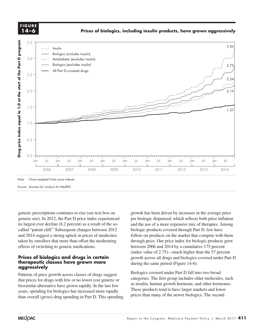**FIGURE 14-X FIGURE 14–6**

**Prices of biologics, including insulin products, have grown aggressively**

**Mixed success...**



generic prescriptions continues to rise (see text box on growth generic use). In 2012, the Part D price index experienced its largest ever decline (8.2 percent) as a result of the socalled "patent cliff." Subsequent changes between 2012 and 2014 suggest a strong uptick in prices of medicines taken by enrollees that more than offset the moderating effects of switching to generic medications.

### **Prices of biologics and drugs in certain** exposite the across all drugs and biologies **therapeutic classes have grown more aggressively** default when you change the data.

Patterns of price growth across classes of drugs suggest that prices for drugs with few or no lower cost generic or the cate biosimilar alternative have grown rapidly. In the last few years, spending for biologics has increased more rapidly than overall (gross) drug spending in Part D. This spending

growth has been driven by increases in the average price per biologic dispensed, which reflects both price inflation experiment of the use of a more expensive mix of therapies. Among experiments are expensive mix of therapies. Among experiments and the use of a more expensive mix of therapies. Among "patent cliff." Subsequent changes between 2012 biologic products covered through Part D, few have  $\frac{1}{2}$  follow-on products on the market that compete with them  $\frac{1}{2}$  and  $\frac{1}{2}$  are to compete to contrary it on a line from the graph of line from the graph, over the line from the graph, over the market that c by enrollees that more than offset the moderating through price. Our price index for biologic products grew  $\frac{125}{100}$ between 2006 and 2014 by a cumulative 175 percent (index value of 2.75)—much higher than the 57 percent growth across all drugs and biologics covered under Part D apeutic classes have grown more during the same period (Figure 14-6).<br>reserve black

> Biologics covered under Part D fall into two broad categories. The first group includes older molecules, such as insulin, human growth hormone, and other hormones. These products tend to have larger markets and lower prices than many of the newer biologics. The second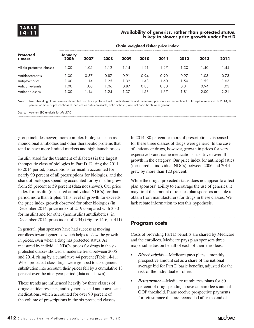# **14–11 Availability of generics, rather than protected status, is key to slower price growth under Part D**

|                             | Chant weighted Handi price made |      |      |      |            |      |      |       |      |
|-----------------------------|---------------------------------|------|------|------|------------|------|------|-------|------|
| <b>Protected</b><br>classes | January<br>2006                 | 2007 | 2008 | 2009 | 2010       | 2011 | 2012 | 2013  | 2014 |
| All six protected classes   | 1.00                            | 1.05 | 1.12 | 1.14 | $\cdot$ 21 | 1.27 | .30  | l .40 | .44  |
| Antidepressants             | .00                             | 0.87 | 0.87 | 0.91 | 0.94       | 0.90 | 0.97 | 1.03  | 0.73 |
| Antipsychotics              | .00                             | 1.14 | 1.25 | 1.32 | .43        | 1.60 | 1.50 | 1.52  | 1.63 |
| <b>Anticonvulsants</b>      | .00.                            | 1.00 | 1.06 | 0.87 | 0.83       | 0.80 | 0.81 | 0.94  | 1.03 |
| Antineoplastics             | .00                             | 1.14 | .24  | 1.37 | .53        | 1.67 | 1.81 | 2.00  | 2.21 |

**Chain-weighted Fisher price index**

Note: Two other drug classes are not shown but also have protected status: antiretrovirals and immunosuppressants for the treatment of transplant rejection. In 2014, 80 percent or more of prescriptions dispensed for antidepressants, antipsychotics, and anticonvulsants were generic.

Source: Acumen LLC analysis for MedPAC.

group includes newer, more complex biologics, such as monoclonal antibodies and other therapeutic proteins that tend to have more limited markets and high launch prices.

Insulin (used for the treatment of diabetes) is the largest therapeutic class of biologics in Part D. During the 2011 to 2014 period, prescriptions for insulin accounted for nearly 90 percent of all prescriptions for biologics, and the share of biologics spending accounted for by insulin grew from 55 percent to 59 percent (data not shown). Our price index for insulin (measured at individual NDCs) for that period more than tripled. This level of growth far exceeds the price index growth observed for other biologics (in December 2014, price index of 2.19 compared with 3.30 for insulin) and for other (noninsulin) antidiabetics (in December 2014, price index of 2.34) (Figure 14-6, p. 411).

In general, plan sponsors have had success at moving enrollees toward generics, which helps to slow the growth in prices, even when a drug has protected status. As measured by individual NDCs, prices for drugs in the six protected classes showed a moderate trend between 2006 and 2014, rising by a cumulative 44 percent (Table 14-11). When protected-class drugs were grouped to take generic substitution into account, their prices fell by a cumulative 13 percent over the nine-year period (data not shown).

These trends are influenced heavily by three classes of drugs: antidepressants, antipsychotics, and anticonvulsant medications, which accounted for over 90 percent of the volume of prescriptions in the six protected classes.

In 2014, 80 percent or more of prescriptions dispensed for these three classes of drugs were generic. In the case of anticancer drugs, however, growth in prices for very expensive brand-name medications has driven overall growth in the category. Our price index for antineoplastics (measured at individual NDCs) between 2006 and 2014 grew by more than 120 percent.

While the drugs' protected status does not appear to affect plan sponsors' ability to encourage the use of generics, it may limit the amount of rebates plan sponsors are able to obtain from manufacturers for drugs in these classes. We lack rebate information to test this hypothesis.

# **Program costs**

Costs of providing Part D benefits are shared by Medicare and the enrollees. Medicare pays plan sponsors three major subsidies on behalf of each of their enrollees:

- *Direct subsidy***—Medicare pays plans a monthly** prospective amount set as a share of the national average bid for Part D basic benefits, adjusted for the risk of the individual enrollee.
- *• Reinsurance*—Medicare reimburses plans for 80 percent of drug spending above an enrollee's annual OOP threshold. Plans receive prospective payments for reinsurance that are reconciled after the end of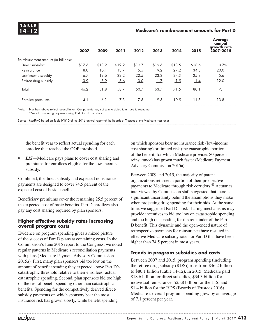# **14–12 Medicare's reimbursement amounts for Part D**

|                                     | 2007   | 2009   | 2011       | 2012   | 2013   | 2014   | 2015   | <b>Average</b><br>annual<br>growth rate<br>2007-2015 |
|-------------------------------------|--------|--------|------------|--------|--------|--------|--------|------------------------------------------------------|
| Reimbursement amount (in billions): |        |        |            |        |        |        |        |                                                      |
| Direct subsidy*                     | \$17.6 | \$18.2 | \$19.2     | \$19.7 | \$19.6 | \$18.5 | \$18.6 | 0.7%                                                 |
| Reinsurance                         | 8.0    | 10.1   | 13.7       | 15.5   | 19.2   | 27.2   | 34.3   | 20.0                                                 |
| Low-income subsidy                  | 16.7   | 19.6   | 22.2       | 22.5   | 23.2   | 24.3   | 25.8   | 5.6                                                  |
| Retiree drug subsidy                | 3.9    | 3.9    | <u>3.6</u> | 3.0    | 1.7    | 1.5    | 1.4    | $-12.0$                                              |
| Total                               | 46.2   | 51.8   | 58.7       | 60.7   | 63.7   | 71.5   | 80.1   | 7.1                                                  |
| Enrollee premiums                   | 4.1    | 6.1    | 7.3        | 7.8    | 9.3    | 10.5   | 11.5   | 13.8                                                 |

Note: Numbers above reflect reconciliation. Components may not sum to stated totals due to rounding. \*Net of risk-sharing payments using Part D's risk corridors.

Source: MedPAC based on Table IV.B10 of the 2016 annual report of the Boards of Trustees of the Medicare trust funds.

the benefit year to reflect actual spending for each enrollee that reached the OOP threshold.

*• LIS*—Medicare pays plans to cover cost sharing and premiums for enrollees eligible for the low-income subsidy.

Combined, the direct subsidy and expected reinsurance payments are designed to cover 74.5 percent of the expected cost of basic benefits.

Beneficiary premiums cover the remaining 25.5 percent of the expected cost of basic benefits. Part D enrollees also pay any cost sharing required by plan sponsors.

# **Higher effective subsidy rates increasing overall program costs**

Evidence on program spending gives a mixed picture of the success of Part D plans at containing costs. In the Commission's June 2015 report to the Congress, we noted regular patterns in Medicare's reconciliation payments with plans (Medicare Payment Advisory Commission 2015a). First, many plan sponsors bid too low on the amount of benefit spending they expected above Part D's catastrophic threshold relative to their enrollees' actual catastrophic spending. Second, plan sponsors bid too high on the rest of benefit spending other than catastrophic benefits. Spending for the competitively derived directsubsidy payments on which sponsors bear the most insurance risk has grown slowly, while benefit spending

on which sponsors bear no insurance risk (low-income cost sharing) or limited risk (the catastrophic portion of the benefit, for which Medicare provides 80 percent reinsurance) has grown much faster (Medicare Payment Advisory Commission 2015a).

Between 2009 and 2015, the majority of parent organizations returned a portion of their prospective payments to Medicare through risk corridors.43 Actuaries interviewed by Commission staff suggested that there is significant uncertainty behind the assumptions they make when projecting drug spending for their bids. At the same time, we suggested Part D's risk-sharing mechanisms may provide incentives to bid too low on catastrophic spending and too high on spending for the remainder of the Part D benefit. This dynamic and the open-ended nature of retrospective payments for reinsurance have resulted in effective Medicare subsidy rates for Part D that have been higher than 74.5 percent in most years.

# **Trends in program subsidies and costs**

Between 2007 and 2015, program spending (including the retiree drug subsidy (RDS)) rose from \$46.2 billion to \$80.1 billion (Table 14-12). In 2015, Medicare paid \$18.6 billion for direct subsidies, \$34.3 billion for individual reinsurance, \$25.8 billion for the LIS, and \$1.4 billion for the RDS (Boards of Trustees 2016). Medicare's overall program spending grew by an average of 7.1 percent per year.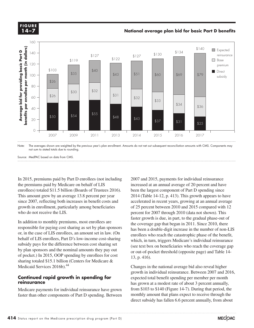### **CURE X-X 14–7FIGURE**

# **National average plan bid for basic Part D benefits**



Note: The averages shown are weighted by the previous year's plan enrollment. Amounts do not net out subsequent reconciliation amounts with CMS. Components may not sum to stated totals due to rounding.

Source: MedPAC based on data from CMS.

In 2015, premiums paid by Part D enrollees (not including the premiums paid by Medicare on behalf of LIS enrollees) totaled \$11.5 billion (Boards of Trustees 2016). This amount grew by an average 13.8 percent per year since 2007, reflecting both increases in benefit costs and growth in enrollment, particularly among beneficiaries who do not receive the LIS.

In addition to monthly premiums, most enrollees are responsible for paying cost sharing as set by plan sponsors or, in the case of LIS enrollees, an amount set in law. (On behalf of LIS enrollees, Part D's low-income cost-sharing subsidy pays for the difference between cost sharing set by plan sponsors and the nominal amounts they pay out of pocket.) In 2015, OOP spending by enrollees for cost sharing totaled \$15.1 billion (Centers for Medicare & Medicaid Services 2016b).<sup>44</sup>

# **Continued rapid growth in spending for reinsurance**

Medicare payments for individual reinsurance have grown faster than other components of Part D spending. Between

2007 and 2015, payments for individual reinsurance increased at an annual average of 20 percent and have been the largest component of Part D spending since 2014 (Table 14-12, p. 413). This growth appears to have accelerated in recent years, growing at an annual average of 25 percent between 2010 and 2015 compared with 12 percent for 2007 through 2010 (data not shown). This faster growth is due, in part, to the gradual phase-out of the coverage gap that began in 2011. Since 2010, there has been a double-digit increase in the number of non-LIS enrollees who reach the catastrophic phase of the benefit, which, in turn, triggers Medicare's individual reinsurance (see text box on beneficiaries who reach the coverage gap or out-of-pocket threshold (opposite page) and Table 14- 13, p. 416).

Changes in the national average bid also reveal higher growth in individual reinsurance. Between 2007 and 2016, expected total benefit spending per member per month has grown at a modest rate of about 3 percent annually, from \$103 to \$140 (Figure 14-7). During that period, the monthly amount that plans expect to receive through the direct subsidy has fallen 6.6 percent annually, from about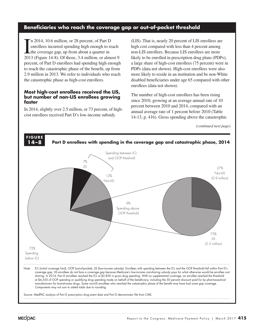# **Beneficiaries who reach the coverage gap or out-of-pocket threshold**

In 2014, 10.6 million, or 28 percent, of Part D<br>enrollees incurred spending high enough to reach<br>the coverage gap, up from about a quarter in<br>2013 (Figure 14-8). Of those, 3.4 million, or almost 9 n 2014, 10.6 million, or 28 percent, of Part D enrollees incurred spending high enough to reach the coverage gap, up from about a quarter in percent, of Part D enrollees had spending high enough to reach the catastrophic phase of the benefit, up from 2.9 million in 2013. We refer to individuals who reach the catastrophic phase as high-cost enrollees.

# **Most high-cost enrollees received the LIS, but number of non-LIS enrollees growing faster**

In 2014, slightly over 2.5 million, or 73 percent, of highcost enrollees received Part D's low-income subsidy

(LIS). That is, nearly 20 percent of LIS enrollees are high cost compared with less than 4 percent among non-LIS enrollees. Because LIS enrollees are more likely to be enrolled in prescription drug plans (PDPs), a large share of high-cost enrollees (75 percent) were in PDPs (data not shown). High-cost enrollees were also more likely to reside in an institution and be non-White disabled beneficiaries under age 65 compared with other enrollees (data not shown).

The number of high-cost enrollees has been rising since 2010, growing at an average annual rate of 10 percent between 2010 and 2014, compared with an annual average rate of 1 percent before 2010 (Table 14-13, p. 416). Gross spending above the catastrophic

*(continued next page)*

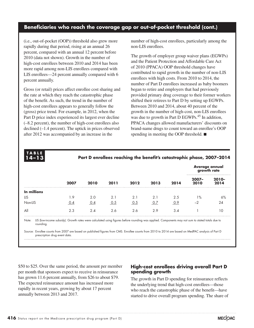# **Beneficiaries who reach the coverage gap or out-of-pocket threshold (cont.)**

(i.e., out-of-pocket (OOP)) threshold also grew more rapidly during that period, rising at an annual 26 percent, compared with an annual 12 percent before 2010 (data not shown). Growth in the number of high-cost enrollees between 2010 and 2014 has been more rapid among non-LIS enrollees compared with LIS enrollees—24 percent annually compared with 6 percent annually.

Gross (or retail) prices affect enrollee cost sharing and the rate at which they reach the catastrophic phase of the benefit. As such, the trend in the number of high-cost enrollees appears to generally follow the (gross) price trend. For example, in 2012, when the Part D price index experienced its largest ever decline (–8.2 percent), the number of high-cost enrollees also declined (–1.4 percent). The uptick in prices observed after 2012 was accompanied by an increase in the

**TABLE**

number of high-cost enrollees, particularly among the non-LIS enrollees.

The growth of employer group waiver plans (EGWPs) and the Patient Protection and Affordable Care Act of 2010 (PPACA) OOP threshold changes have contributed to rapid growth in the number of non-LIS enrollees with high costs. From 2010 to 2014, the number of Part D enrollees increased as baby boomers began to retire and employers that had previously provided primary drug coverage to their former workers shifted their retirees to Part D by setting up EGWPs. Between 2010 and 2014, about 40 percent of the growth in the number of high-cost, non-LIS enrollees was due to growth in Part D EGWPs.<sup>45</sup> In addition, PPACA changes allowed manufacturers' discounts on brand-name drugs to count toward an enrollee's OOP spending in meeting the OOP threshold. ■

| $14 - 13$   | 2007 | 2010 | 2011 | 2012 | 2013 | 2014 | Part D enrollees reaching the benefit's catastrophic phase, 2007-2014<br><b>Average annual</b><br>growth rate |                  |
|-------------|------|------|------|------|------|------|---------------------------------------------------------------------------------------------------------------|------------------|
|             |      |      |      |      |      |      | $2007 -$<br>2010                                                                                              | $2010 -$<br>2014 |
| In millions |      |      |      |      |      |      |                                                                                                               |                  |
| LIS         | 1.9  | 2.0  | 2.1  | 2.1  | 2.1  | 2.5  | $\frac{9}{6}$                                                                                                 | 6%               |
| Non-LIS     | 0.4  | 0.4  | 0.5  | 0.5  | 0.7  | 0.9  | $-2$                                                                                                          | 24               |
| All         | 2.3  | 2.4  | 2.6  | 2.6  | 2.9  | 3.4  |                                                                                                               | 10               |

Note: LIS (low-income subsidy). Growth rates were calculated using figures before rounding was applied. Components may not sum to stated totals due to rounding.

Source: Enrollee counts from 2007 are based on published figures from CMS. Enrollee counts from 2010 to 2014 are based on MedPAC analysis of Part D prescription drug event data.

\$50 to \$25. Over the same period, the amount per member per month that sponsors expect to receive in reinsurance has grown 11.6 percent annually, from \$26 to about \$79. The expected reinsurance amount has increased more rapidly in recent years, growing by about 17 percent annually between 2013 and 2017.

# **High-cost enrollees driving overall Part D spending growth**

The growth in Part D spending for reinsurance reflects the underlying trend that high-cost enrollees—those who reach the catastrophic phase of the benefit—have started to drive overall program spending. The share of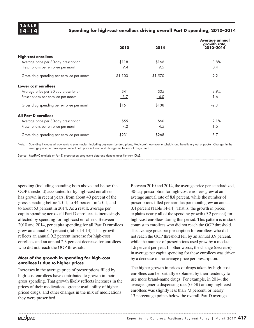

# **14–14 Spending for high-cost enrollees driving overall Part D spending, 2010–2014**

|                                            |         |         | <b>Average annual</b><br>growth rate, |
|--------------------------------------------|---------|---------|---------------------------------------|
|                                            | 2010    | 2014    | 2010-2014                             |
| <b>High-cost enrollees</b>                 |         |         |                                       |
| Average price per 30-day prescription      | \$118   | \$166   | 8.8%                                  |
| Prescriptions per enrollee per month       | 9.4     | 9.5     | 0.4                                   |
| Gross drug spending per enrollee per month | \$1,103 | \$1,570 | 9.2                                   |
| Lower cost enrollees                       |         |         |                                       |
| Average price per 30-day prescription      | \$41    | \$35    | $-3.9%$                               |
| Prescriptions per enrollee per month       | 3.7     | $-4.0$  | 1.6                                   |
| Gross drug spending per enrollee per month | \$151   | \$138   | $-2.3$                                |
| <b>All Part Denrollees</b>                 |         |         |                                       |
| Average price per 30-day prescription      | \$55    | \$60    | 2.1%                                  |
| Prescriptions per enrollee per month       | $-4.2$  | 4.5     | 1.6                                   |
| Gross drug spending per enrollee per month | \$231   | \$268   | 3.7                                   |

Note: Spending includes all payments to pharmacies, including payments by drug plans, Medicare's low-income subsidy, and beneficiary out of pocket. Changes in the average price per prescription reflect both price inflation and changes in the mix of drugs used.

Source: MedPAC analysis of Part D prescription drug event data and denominator file from CMS.

spending (including spending both above and below the OOP threshold) accounted for by high-cost enrollees has grown in recent years, from about 40 percent of the gross spending before 2011, to 44 percent in 2011, and to about 53 percent in 2014. As a result, average per capita spending across all Part D enrollees is increasingly affected by spending for high-cost enrollees. Between 2010 and 2014, per capita spending for all Part D enrollees grew an annual 3.7 percent (Table 14-14). That growth reflects an annual 9.2 percent increase for high-cost enrollees and an annual 2.3 percent decrease for enrollees who did not reach the OOP threshold.

# **Most of the growth in spending for high-cost enrollees is due to higher prices**

Increases in the average price of prescriptions filled by high-cost enrollees have contributed to growth in their gross spending. That growth likely reflects increases in the prices of their medications, greater availability of higher priced drugs, and other changes in the mix of medications they were prescribed.

Between 2010 and 2014, the average price per standardized, 30-day prescription for high-cost enrollees grew at an average annual rate of 8.8 percent, while the number of prescriptions filled per enrollee per month grew an annual 0.4 percent (Table 14-14). That is, the growth in prices explains nearly all of the spending growth (9.2 percent) for high-cost enrollees during this period. This pattern is in stark contrast to enrollees who did not reach the OOP threshold. The average price per prescription for enrollees who did not reach the OOP threshold fell by an annual 3.9 percent, while the number of prescriptions used grew by a modest 1.6 percent per year. In other words, the change (decrease) in average per capita spending for these enrollees was driven by a decrease in the average price per prescription.

The higher growth in prices of drugs taken by high-cost enrollees can be partially explained by their tendency to use more brand-name drugs. For example, in 2014, the average generic dispensing rate (GDR) among high-cost enrollees was slightly less than 73 percent, or nearly 13 percentage points below the overall Part D average.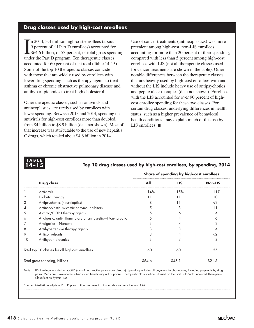# **Drug classes used by high-cost enrollees**

In 2014, 3.4 million high-cost enrollees (about 9 percent of all Part D enrollees) accounted for \$64.6 billion, or 53 percent, of total gross spen under the Part D program. Ten therapeutic classes n 2014, 3.4 million high-cost enrollees (about 9 percent of all Part D enrollees) accounted for **L**\$64.6 billion, or 53 percent, of total gross spending accounted for 60 percent of that total (Table 14-15). Some of the top 10 therapeutic classes coincide with those that are widely used by enrollees with lower drug spending, such as therapy agents to treat asthma or chronic obstructive pulmonary disease and antihyperlipidemics to treat high cholesterol.

Other therapeutic classes, such as antivirals and antineoplastics, are rarely used by enrollees with lower spending. Between 2013 and 2014, spending on antivirals for high-cost enrollees more than doubled, from \$4 billion to \$8.9 billion (data not shown). Most of that increase was attributable to the use of new hepatitis C drugs, which totaled about \$4.6 billion in 2014.

Use of cancer treatments (antineoplastics) was more prevalent among high-cost, non-LIS enrollees, accounting for more than 20 percent of their spending, compared with less than 5 percent among high-cost enrollees with LIS (not all therapeutic classes used for cancer treatments are shown in the table). Other notable differences between the therapeutic classes that are heavily used by high-cost enrollees with and without the LIS include heavy use of antipsychotics and peptic ulcer therapies (data not shown). Enrollees with the LIS accounted for over 90 percent of highcost enrollee spending for these two classes. For certain drug classes, underlying differences in health status, such as a higher prevalence of behavioral health conditions, may explain much of this use by LIS enrollees. ■

# **TABLE**

# **14–15 Top 10 drug classes used by high-cost enrollees, by spending, 2014**

|                                |                                                          | Share of spending by high-cost enrollees |            |                |  |
|--------------------------------|----------------------------------------------------------|------------------------------------------|------------|----------------|--|
|                                | <b>Drug class</b>                                        | All                                      | <b>LIS</b> | <b>Non-LIS</b> |  |
|                                | Antivirals                                               | 14%                                      | 15%        | 11%            |  |
|                                | Diabetic therapy                                         | 11                                       | 11         | 10             |  |
| 3                              | Antipsychotics (neuroleptics)                            | 8                                        | 11         | $\lt2$         |  |
| 4                              | Antineoplastic-systemic enzyme inhibitors                | 5                                        | 3          | 11             |  |
| 5                              | Asthma/COPD therapy agents                               |                                          | 6          |                |  |
| 6                              | Analgesic, anti-inflammatory or antipyretic-Non-narcotic |                                          | 4          |                |  |
|                                | Analgesics-Narcotic                                      |                                          |            |                |  |
| 8                              | Antihypertensive therapy agents                          | 3                                        | 3          |                |  |
| 9                              | Anticonvulsants                                          |                                          |            | $\lt2$         |  |
| 10                             | Antihyperlipidemics                                      | 3                                        | 3          | 3              |  |
|                                | Total top 10 classes for all high-cost enrollees         | 60                                       | 60         | 55             |  |
| Total gross spending, billions |                                                          | \$64.6                                   | \$43.1     | \$21.5         |  |

Note: LIS (low-income subsidy), COPD (chronic obstructive pulmonary disease). Spending includes all payments to pharmacies, including payments by drug plans, Medicare's low-income subsidy, and beneficiary out of pocket. Therapeutic classification is based on the First DataBank Enhanced Therapeutic Classification System 1.0.

Source: MedPAC analysis of Part D prescription drug event data and denominator file from CMS.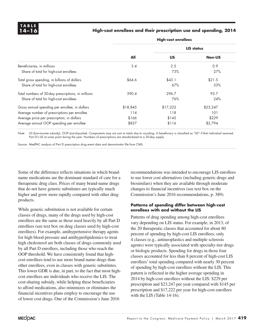# **14–16 High-cost enrollees and their prescription use and spending, 2014**

|                                                    | <b>High-cost enrollees</b> |            |                |  |
|----------------------------------------------------|----------------------------|------------|----------------|--|
|                                                    |                            | LIS status |                |  |
|                                                    | All                        | <b>LIS</b> | <b>Non-LIS</b> |  |
| Beneficiaries, in millions                         | 3.4                        | 2.5        | 0.9            |  |
| Share of total for high-cost enrollees             |                            | 73%        | 27%            |  |
| Total gross spending, in billions of dollars       | \$64.6                     | \$43.1     | \$21.5         |  |
| Share of total for high-cost enrollees             |                            | 67%        | 33%            |  |
| Total numbers of 30-day prescriptions, in millions | 390.4                      | 296.7      | 93.7           |  |
| Share of total for high-cost enrollees             |                            | 76%        | 24%            |  |
| Gross annual spending per enrollee, in dollars     | \$18,845                   | \$17,222   | \$23,247       |  |
| Average number of prescriptions per enrollee       | 114                        | 118        | 101            |  |
| Average price per prescription, in dollars         | \$166                      | \$145      | \$229          |  |
| Average annual OOP spending per enrollee           | \$837                      | \$116      | \$2,794        |  |

Note: LIS (low-income subsidy), OOP (out-of-pocket). Components may not sum to totals due to rounding. A beneficiary is classified as "LIS" if that individual received Part D's LIS at some point during the year. Numbers of prescriptions are standardized to a 30-day supply.

Source: MedPAC analysis of Part D prescription drug event data and denominator file from CMS.

Some of the difference reflects situations in which brandname medications are the dominant standard of care for a therapeutic drug class. Prices of many brand-name drugs that do not have generic substitutes are typically much higher and grow more rapidly compared with other drug products.

While generic substitution is not available for certain classes of drugs, many of the drugs used by high-cost enrollees are the same as those used heavily by all Part D enrollees (see text box on drug classes used by high-cost enrollees). For example, antihypertensive therapy agents for high blood pressure and antihyperlipidemics to treat high cholesterol are both classes of drugs commonly used by all Part D enrollees, including those who reach the OOP threshold. We have consistently found that highcost enrollees tend to use more brand-name drugs than other enrollees, even in classes with generic substitutes. This lower GDR is due, in part, to the fact that most highcost enrollees are individuals who receive the LIS. The cost-sharing subsidy, while helping these beneficiaries to afford medications, also minimizes or eliminates the financial incentives plans employ to encourage the use of lower cost drugs. One of the Commission's June 2016

recommendations was intended to encourage LIS enrollees to use lower cost alternatives (including generic drugs and biosimilars) when they are available through moderate changes to financial incentives (see text box on the Commission's June 2016 recommendations, p. 389).

# **Patterns of spending differ between high-cost enrollees with and without the LIS**

Patterns of drug spending among high-cost enrollees vary depending on LIS status. For example, in 2013, of the 20 therapeutic classes that accounted for about 80 percent of spending by high-cost LIS enrollees, only 4 classes (e.g., antineoplastics and multiple sclerosis agents) were typically associated with specialty-tier drugs or biologic products. Spending for drugs in those four classes accounted for less than 8 percent of high-cost LIS enrollees' total spending compared with nearly 30 percent of spending by high-cost enrollees without the LIS. This pattern is reflected in the higher average spending in 2014 by high-cost enrollees without the LIS: \$229 per prescription and \$23,247 per year compared with \$145 per prescription and \$17,222 per year for high-cost enrollees with the LIS (Table 14-16).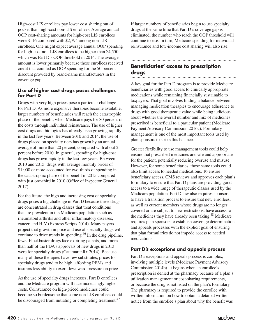High-cost LIS enrollees pay lower cost sharing out of pocket than high-cost non-LIS enrollees. Average annual OOP cost-sharing amounts for high-cost LIS enrollees were \$116 compared with \$2,794 among non-LIS enrollees. One might expect average annual OOP spending for high-cost non-LIS enrollees to be higher than \$4,550, which was Part D's OOP threshold in 2014. The average amount is lower primarily because those enrollees received credit that counted as OOP spending for the 50 percent discount provided by brand-name manufacturers in the coverage gap.

# **Use of higher cost drugs poses challenges for Part D**

Drugs with very high prices pose a particular challenge for Part D. As more expensive therapies become available, larger numbers of beneficiaries will reach the catastrophic phase of the benefit, when Medicare pays for 80 percent of the costs through individual reinsurance. The use of higher cost drugs and biologics has already been growing rapidly in the last few years. Between 2010 and 2014, the use of drugs placed on specialty tiers has grown by an annual average of more than 20 percent, compared with about 2 percent before 2010. In general, spending for high-cost drugs has grown rapidly in the last few years. Between 2010 and 2015, drugs with average monthly prices of \$1,000 or more accounted for two-thirds of spending in the catastrophic phase of the benefit in 2015 compared with just one-third in 2010 (Office of Inspector General 2017).

For the future, the high and increasing cost of specialty drugs poses a big challenge in Part D because these drugs are concentrated in drug classes that treat conditions that are prevalent in the Medicare population such as rheumatoid arthritis and other inflammatory diseases, cancer, and HIV (Express Scripts 2014). Many payers project that growth in price and use of specialty drugs will continue to drive trends in spending.46 In the drug pipeline, fewer blockbuster drugs face expiring patents, and more than half of the FDA's approvals of new drugs in 2013 were for specialty drugs (CatamaranRx 2014). Because many of these therapies have few substitutes, prices for specialty drugs tend to be high, affording PBMs and insurers less ability to exert downward pressure on price.

As the use of specialty drugs increases, Part D enrollees and the Medicare program will face increasingly higher costs. Coinsurance on high-priced medicines could become so burdensome that some non-LIS enrollees could be discouraged from initiating or completing treatment.<sup>47</sup>

If larger numbers of beneficiaries begin to use specialty drugs at the same time that Part D's coverage gap is eliminated, the number who reach the OOP threshold will continue to rise. In turn, Medicare spending for individual reinsurance and low-income cost sharing will also rise.

# **Beneficiaries' access to prescription drugs**

A key goal for the Part D program is to provide Medicare beneficiaries with good access to clinically appropriate medications while remaining financially sustainable to taxpayers. That goal involves finding a balance between managing medication therapies to encourage adherence to drugs with good therapeutic value while being judicious about whether the overall number and mix of medicines prescribed is beneficial to a particular patient (Medicare Payment Advisory Commission 2016c). Formulary management is one of the most important tools used by plan sponsors to strike this balance.

Greater flexibility to use management tools could help ensure that prescribed medicines are safe and appropriate for the patient, potentially reducing overuse and misuse. However, for some beneficiaries, those same tools could also limit access to needed medications. To ensure beneficiary access, CMS reviews and approves each plan's formulary to ensure that Part D plans are providing good access to a wide range of therapeutic classes used by the Medicare population. Part D law also requires sponsors to have a transition process to ensure that new enrollees, as well as current members whose drugs are no longer covered or are subject to new restrictions, have access to the medicines they have already been taking.<sup>48</sup> Medicare requires plan sponsors to establish coverage determination and appeals processes with the explicit goal of ensuring that plan formularies do not impede access to needed medications.

# **Part D's exceptions and appeals process**

Part D's exceptions and appeals process is complex, involving multiple levels (Medicare Payment Advisory Commission 2014b). It begins when an enrollee's prescription is denied at the pharmacy because of a plan's utilization management or cost-sharing requirements, or because the drug is not listed on the plan's formulary. The pharmacy is required to provide the enrollee with written information on how to obtain a detailed written notice from the enrollee's plan about why the benefit was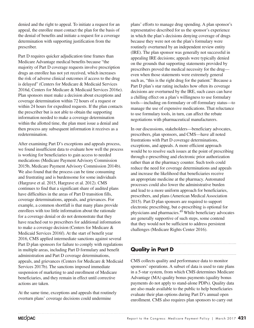denied and the right to appeal. To initiate a request for an appeal, the enrollee must contact the plan for the basis of the denial of benefits and initiate a request for a coverage determination with supporting justification from the prescriber.

Part D requires quicker adjudication time frames than Medicare Advantage medical benefits because "the majority of Part D coverage requests involve prescription drugs an enrollee has not yet received, which increases the risk of adverse clinical outcomes if access to the drug is delayed" (Centers for Medicare & Medicaid Services 2016d, Centers for Medicare & Medicaid Services 2016e). Plan sponsors must make a decision about exceptions and coverage determination within 72 hours of a request or within 24 hours for expedited requests. If the plan contacts the prescriber but is not able to obtain the supporting information needed to make a coverage determination within the allotted time, the plan must issue a denial and then process any subsequent information it receives as a redetermination.

After examining Part D's exceptions and appeals process, we found insufficient data to evaluate how well the process is working for beneficiaries to gain access to needed medications (Medicare Payment Advisory Commission 2015b, Medicare Payment Advisory Commission 2014b). We also found that the process can be time consuming and frustrating and is burdensome for some individuals (Hargrave et al. 2015, Hargrave et al. 2012). CMS continues to find that a significant share of audited plans have difficulties in the areas of Part D transition fills, coverage determinations, appeals, and grievances. For example, a common shortfall is that many plans provide enrollees with too little information about the rationale for a coverage denial or do not demonstrate that they have reached out to prescribers for additional information to make a coverage decision (Centers for Medicare & Medicaid Services 2016f). At the start of benefit year 2016, CMS applied intermediate sanctions against several Part D plan sponsors for failure to comply with regulations in multiple areas, including Part D formulary and benefit administration and Part D coverage determinations, appeals, and grievances (Centers for Medicare & Medicaid Services 2017b). The sanctions imposed immediate suspension of marketing to and enrollment of Medicare beneficiaries, and they remain in effect until corrective actions are taken.

At the same time, exceptions and appeals that routinely overturn plans' coverage decisions could undermine

plans' efforts to manage drug spending. A plan sponsor's representative described for us the sponsor's experience in which the plan's decisions denying coverage of drugs because they were not on the plan's formulary were routinely overturned by an independent review entity (IRE). The plan sponsor was generally not successful in appealing IRE decisions; appeals were typically denied on the grounds that supporting statements provided by prescribers proved the medical necessity for the drug even when those statements were extremely general such as, "this is the right drug for the patient." Because a Part D plan's star rating includes how often its coverage decisions are overturned by the IRE, such cases can have a chilling effect on a plan's willingness to use formulary tools—including on-formulary or off-formulary status—to manage the use of expensive medications. That reluctance to use formulary tools, in turn, can affect the rebate negotiations with pharmaceutical manufacturers.

In our discussions, stakeholders—beneficiary advocates, prescribers, plan sponsors, and CMS—have all noted frustrations with Part D coverage determinations, exceptions, and appeals. A more efficient approach would be to resolve such issues at the point of prescribing through e-prescribing and electronic prior authorization rather than at the pharmacy counter. Such tools could reduce the need for coverage determinations and appeals and increase the likelihood that beneficiaries receive an appropriate medicine at the pharmacy. Automated processes could also lower the administrative burden and lead to a more uniform approach for beneficiaries, prescribers, and plans (American Medical Association 2015). Part D plan sponsors are required to support electronic prescribing, but e-prescribing is optional for physicians and pharmacies.49 While beneficiary advocates are generally supportive of such steps, some contend that they would not be sufficient to address persistent challenges (Medicare Rights Center 2016).

# **Quality in Part D**

CMS collects quality and performance data to monitor sponsors' operations. A subset of data is used to rate plans in a 5-star system, from which CMS determines Medicare Advantage (MA) quality bonus payments (quality bonus payments do not apply to stand-alone PDPs). Quality data are also made available to the public to help beneficiaries evaluate their plan options during Part D's annual open enrollment. CMS also requires plan sponsors to carry out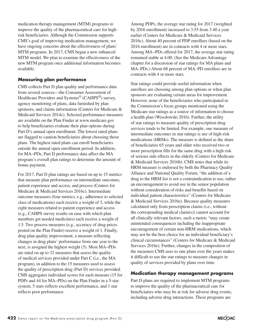medication therapy management (MTM) programs to improve the quality of the pharmaceutical care for highrisk beneficiaries. Although the Commission supports CMS's goal of improving medication management, we have ongoing concerns about the effectiveness of plans' MTM programs. In 2017, CMS began a new enhanced MTM model. We plan to examine the effectiveness of the new MTM program once additional information becomes available.

# **Measuring plan performance**

CMS collects Part D plan quality and performance data from several sources—the Consumer Assessment of Healthcare Providers and Systems<sup>®</sup> (CAHPS<sup>®</sup>) survey, agency monitoring of plans, data furnished by plan sponsors, and claims information (Centers for Medicare & Medicaid Services 2014c). Selected performance measures are available on the Plan Finder at www.medicare.gov to help beneficiaries evaluate their plan options during Part D's annual open enrollment. The lowest rated plans are flagged to caution beneficiaries about choosing those plans. The highest rated plans can enroll beneficiaries outside the annual open enrollment period. In addition, for MA−PDs, Part D performance data affect the MA program's overall plan ratings to determine the amount of bonus payment.

For 2017, Part D plan ratings are based on up to 15 metrics that measure plan performance on intermediate outcomes, patient experience and access, and process (Centers for Medicare & Medicaid Services 2016c). Intermediate outcome measures (four metrics, e.g., adherence to selected class of medications) each receive a weight of 3, while the eight measures related to patient experience and access (e.g., CAHPS survey results on ease with which plan members get needed medicines) each receive a weight of 1.5. Two process measures (e.g., accuracy of drug prices posted on the Plan Finder) receive a weight of 1. Finally, drug plan quality improvement, a measure reflecting changes in drug plans' performance from one year to the next, is assigned the highest weight (5). Most MA−PDs are rated on up to 32 measures that assess the quality of medical services provided under Part C (i.e., the MA program), in addition to the 15 measures used to assess the quality of prescription drug (Part D) services provided. CMS aggregates individual scores for each measure (15 for PDPs and 44 for MA−PDs) on the Plan Finder in a 5-star system; 5 stars reflects excellent performance, and 1 star reflects poor performance.

Among PDPs, the average star rating for 2017 (weighted by 2016 enrollment) increased to 3.55 from 3.40 a year earlier (Centers for Medicare & Medicaid Services 2016c). About 40 percent of PDP enrollees (based on the 2016 enrollment) are in contracts with 4 or more stars. Among MA−PDs offered for 2017, the average star rating remained stable at 4.00. (See the Medicare Advantage chapter for a discussion of star ratings for MA plans and MA–PDs.) About 68 percent of MA–PD enrollees are in contracts with 4 or more stars.

Star ratings could provide useful information when enrollees are choosing among plan options or when plan sponsors are evaluating certain areas for improvement. However, none of the beneficiaries who participated in the Commission's focus groups mentioned using the Medicare star ratings as a source of information to choose a health plan (Wesolowski 2016). Further, the utility of star ratings to measure quality of prescription drug services tends to be limited. For example, one measure of intermediate outcomes in star ratings is use of high-risk medications (HRMs). The measure is defined as the share of beneficiaries 65 years and older who received two or more prescription fills for the same drug with a high risk of serious side effects in the elderly (Centers for Medicare & Medicaid Services 2016h). CMS notes that while its HRM measure is endorsed by both the Pharmacy Quality Alliance and National Quality Forum, "the addition of a drug to the HRM list is not a contraindication to use, rather an encouragement to avoid use in the senior population without consideration of risks and benefits based on individual patient characteristics" (Centers for Medicare & Medicaid Services 2016e). Because quality measures calculated only from prescription claims (i.e., without the corresponding medical claim(s)) cannot account for all clinically relevant factors, such a metric "may create unintended consequences including the inappropriate encouragement of certain non-HRM medications, which may not be the best choice for an individual beneficiary's clinical circumstances" (Centers for Medicare & Medicaid Services 2016e). Further, changes in the composition of the measures CMS uses to rate plans over the years makes it difficult to use the star ratings to measure changes in quality of services provided by plans over time.

# **Medication therapy management programs**

Part D plans are required to implement MTM programs to improve the quality of the pharmaceutical care for beneficiaries who may be at risk for adverse drug events, including adverse drug interactions. These programs are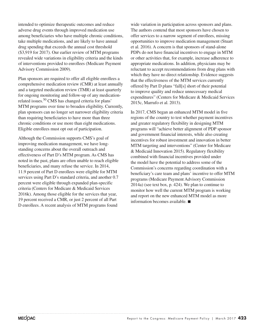intended to optimize therapeutic outcomes and reduce adverse drug events through improved medication use among beneficiaries who have multiple chronic conditions, take multiple medications, and are likely to have annual drug spending that exceeds the annual cost threshold (\$3,919 for 2017). Our earlier review of MTM programs revealed wide variations in eligibility criteria and the kinds of interventions provided to enrollees (Medicare Payment Advisory Commission 2009).

Plan sponsors are required to offer all eligible enrollees a comprehensive medication review (CMR) at least annually and a targeted medication review (TMR) at least quarterly for ongoing monitoring and follow-up of any medicationrelated issues.50 CMS has changed criteria for plans' MTM programs over time to broaden eligibility. Currently, plan sponsors can no longer set narrower eligibility criteria than requiring beneficiaries to have more than three chronic conditions or use more than eight medications. Eligible enrollees must opt out of participation.

Although the Commission supports CMS's goal of improving medication management, we have longstanding concerns about the overall outreach and effectiveness of Part D's MTM program. As CMS has noted in the past, plans are often unable to reach eligible beneficiaries, and many refuse the service. In 2014, 11.9 percent of Part D enrollees were eligible for MTM services using Part D's standard criteria, and another 0.7 percent were eligible through expanded plan-specific criteria (Centers for Medicare & Medicaid Services 2016k). Among those eligible for the services that year, 19 percent received a CMR, or just 2 percent of all Part D enrollees. A recent analysis of MTM programs found

wide variation in participation across sponsors and plans. The authors contend that most sponsors have chosen to offer services to a narrow segment of enrollees, missing opportunities to improve medication management (Stuart et al. 2016). A concern is that sponsors of stand-alone PDPs do not have financial incentives to engage in MTM or other activities that, for example, increase adherence to appropriate medications. In addition, physicians may be reluctant to accept recommendations from drug plans with which they have no direct relationship. Evidence suggests that the effectiveness of the MTM services currently offered by Part D plans "fall[s] short of their potential to improve quality and reduce unnecessary medical expenditures" (Centers for Medicare & Medicaid Services 2015c, Marrufo et al. 2013).

In 2017, CMS began an enhanced MTM model in five regions of the country to test whether payment incentives and greater regulatory flexibility in designing MTM programs will "achieve better alignment of PDP sponsor and government financial interests, while also creating incentives for robust investment and innovation in better MTM targeting and interventions" (Center for Medicare & Medicaid Innovation 2015). Regulatory flexibility combined with financial incentives provided under the model have the potential to address some of the Commission's concerns regarding coordination with a beneficiary's care team and plans' incentive to offer MTM programs (Medicare Payment Advisory Commission 2014a) (see text box, p. 424). We plan to continue to monitor how well the current MTM program is working and report on the new enhanced MTM model as more information becomes available. ■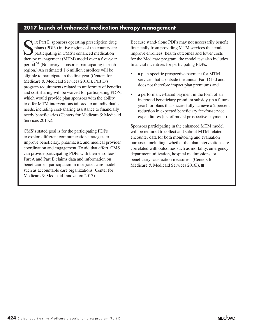# **2017 launch of enhanced medication therapy management**

IN EXT D sponsors operating prescription drug<br>plans (PDPs) in five regions of the country are<br>participating in CMS's enhanced medication<br>thereony management (MTM) model over a five year. plans (PDPs) in five regions of the country are participating in CMS's enhanced medication therapy management (MTM) model over a five-year period.51 (Not every sponsor is participating in each region.) An estimated 1.6 million enrollees will be eligible to participate in the first year (Centers for Medicare & Medicaid Services 2016l). Part D's program requirements related to uniformity of benefits and cost sharing will be waived for participating PDPs, which would provide plan sponsors with the ability to offer MTM interventions tailored to an individual's needs, including cost-sharing assistance to financially needy beneficiaries (Centers for Medicare & Medicaid Services 2015c).

CMS's stated goal is for the participating PDPs to explore different communication strategies to improve beneficiary, pharmacist, and medical provider coordination and engagement. To aid that effort, CMS can provide participating PDPs with their enrollees' Part A and Part B claims data and information on beneficiaries' participation in integrated care models such as accountable care organizations (Center for Medicare & Medicaid Innovation 2017).

Because stand-alone PDPs may not necessarily benefit financially from providing MTM services that could improve enrollees' health outcomes and lower costs for the Medicare program, the model test also includes financial incentives for participating PDPs:

- a plan-specific prospective payment for MTM services that is outside the annual Part D bid and does not therefore impact plan premiums and
- a performance-based payment in the form of an increased beneficiary premium subsidy (in a future year) for plans that successfully achieve a 2 percent reduction in expected beneficiary fee-for-service expenditures (net of model prospective payments).

Sponsors participating in the enhanced MTM model will be required to collect and submit MTM-related encounter data for both monitoring and evaluation purposes, including "whether the plan interventions are correlated with outcomes such as mortality, emergency department utilization, hospital readmissions, or beneficiary satisfaction measures" (Centers for Medicare & Medicaid Services 2016l). ■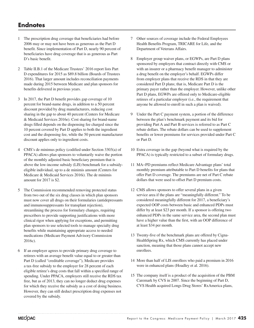# **Endnotes**

- 1 The prescription drug coverage that beneficiaries had before 2006 may or may not have been as generous as the Part D benefit. Since implementation of Part D, nearly 90 percent of beneficiaries have drug coverage that is as generous as Part D's basic benefit.
- 2 Table II.B.1 of the Medicare Trustees' 2016 report lists Part D expenditures for 2015 as \$89.8 billion (Boards of Trustees 2016). That larger amount includes reconciliation payments made during 2015 between Medicare and plan sponsors for benefits delivered in previous years.
- 3 In 2017, the Part D benefit provides gap coverage of 10 percent for brand-name drugs, in addition to a 50 percent discount provided by drug manufacturers, reducing cost sharing in the gap to about 40 percent (Centers for Medicare & Medicaid Services 2016e). Cost sharing for brand-name drugs filled depends on the dispensing fee charged since the 10 percent covered by Part D applies to both the ingredient cost and the dispensing fee, while the 50 percent manufacturer discount applies only to ingredient costs.
- 4 CMS's de minimus policy (codified under Section 3303(a) of PPACA) allows plan sponsors to voluntarily waive the portion of the monthly adjusted basic beneficiary premium that is above the low-income subsidy (LIS) benchmark for a subsidyeligible individual, up to a de minimis amount (Centers for Medicare & Medicaid Services 2016i). The de minimis amount for 2017 is \$2.
- 5 The Commission recommended removing protected status from two out of the six drug classes in which plan sponsors must now cover all drugs on their formularies (antidepressants and immunosuppressants for transplant rejection), streamlining the process for formulary changes, requiring prescribers to provide supporting justifications with more clinical rigor when applying for exceptions, and permitting plan sponsors to use selected tools to manage specialty drug benefits while maintaining appropriate access to needed medications (Medicare Payment Advisory Commission 2016c).
- 6 If an employer agrees to provide primary drug coverage to retirees with an average benefit value equal to or greater than Part D (called "creditable coverage"), Medicare provides a tax-free subsidy to the employer for 28 percent of each eligible retiree's drug costs that fall within a specified range of spending. Under PPACA, employers still receive the RDS tax free, but as of 2013, they can no longer deduct drug expenses for which they receive the subsidy as a cost of doing business. However, they can still deduct prescription drug expenses not covered by the subsidy.
- 7 Other sources of coverage include the Federal Employees Health Benefits Program, TRICARE for Life, and the Department of Veterans Affairs.
- 8 Employer group waiver plans, or EGWPs, are Part D plans sponsored by employers that contract directly with CMS or with an insurer or a pharmacy benefit manager to administer a drug benefit on the employer's behalf. EGWPs differ from employer plans that receive the RDS in that they are considered Part D plans; that is, Medicare Part D is the primary payer rather than the employer. However, unlike other Part D plans, EGWPs are offered only to Medicare-eligible retirees of a particular employer (i.e., the requirement that anyone be allowed to enroll in such a plan is waived).
- 9 Under the Part C payment system, a portion of the difference between the plan's benchmark payment and its bid for providing Part A and Part B services is referred to as Part C rebate dollars. The rebate dollars can be used to supplement benefits or lower premiums for services provided under Part C or Part D.
- 10 Extra coverage in the gap (beyond what is required by the PPACA) is typically restricted to a subset of formulary drugs.
- 11 MA−PD premiums reflect Medicare Advantage plans' total monthly premium attributable to Part D benefits for plans that offer Part D coverage. The premiums are net of Part C rebate dollars that were used to offset Part D premium costs.
- 12 CMS allows sponsors to offer several plans in a given service area if the plans are "meaningfully different." To be considered meaningfully different for 2017, a beneficiary's expected OOP costs between basic and enhanced PDPs must differ by at least \$23 per month. If a sponsor is offering two enhanced PDPs in the same service area, the second plan must have a higher value than the first, with an OOP difference of at least \$34 per month.
- 13 Twenty-five of the benchmark plans are offered by Cigna-HealthSpring Rx, which CMS currently has placed under sanction, meaning that those plans cannot accept new enrollees.
- 14 More than half of LIS enrollees who paid a premium in 2016 were in enhanced plans (Hoadley et al. 2016).
- 15 The company itself is a product of the acquisition of the PBM Caremark by CVS in 2007. Since the beginning of Part D, CVS Health acquired Longs Drug Stores' RxAmerica plans,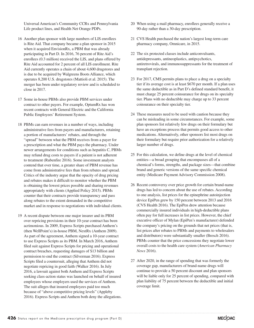Universal American's Community CCRx and Pennsylvania Life product lines, and Health Net Orange PDPs.

- 16 Another plan sponsor with large numbers of LIS enrollees is Rite Aid. That company became a plan sponsor in 2015 when it acquired EnvisionRx, a PBM that was already participating in Part D. In 2016, 76 percent of Rite Aid's enrollees (0.3 million) received the LIS, and plans offered by Rite Aid accounted for 2 percent of all LIS enrollment. Rite Aid currently operates a chain of about 4,600 drugstores and is due to be acquired by Walgreens Boots Alliance, which operates 8,200 U.S. drugstores (Mattioli et al. 2015). The merger has been under regulatory review and is scheduled to close in 2017.
- 17 Some in-house PBMs also provide PBM services under contract to other payers. For example, OptumRx has won recent contracts with General Electric and the California Public Employees' Retirement System.
- 18 PBMs can earn revenues in a number of ways, including administrative fees from payers and manufacturers, retaining a portion of manufacturers' rebates, and through the "spread" between what the PBM receives from a payer for a prescription and what the PBM pays the pharmacy. Under newer arrangements for conditions such as hepatitis C, PBMs may refund drug costs to payers if a patient is not adherent to treatment (Rubenfire 2016). Some investment analysts contend that over time, a greater share of PBM revenue has come from administrative fees than from rebates and spread. Critics of the industry argue that the opacity of drug pricing and rebates makes it difficult to monitor whether the PBM is obtaining the lowest prices possible and sharing revenues appropriately with clients (Applied Policy 2015). PBMs counter that their contracts provide transparency and pass along rebates to the extent demanded in the competitive market and in response to negotiations with individual clients.
- 19 A recent dispute between one major insurer and its PBM over repricing provisions in their 10-year contract has been acrimonious. In 2009, Express Scripts purchased Anthem's (then WellPoint's) in-house PBM, NextRx (Anthem 2009). As part of the agreement, Anthem signed a 10-year contract to use Express Scripts as its PBM. In March 2016, Anthem filed suit against Express Scripts for pricing and operational contract breaches, requesting damages of \$13 billion and permission to end the contract (Silverman 2016). Express Scripts filed a countersuit, alleging that Anthem did not negotiate repricing in good faith (Walker 2016). In July 2016, a lawsuit against both Anthem and Express Scripts seeking class-action status was launched on behalf of insured employees whose employers used the services of Anthem. The suit alleges that insured employees paid too much because of "above competitive pricing levels" (Appleby 2016). Express Scripts and Anthem both deny the allegations.
- 20 When using a mail pharmacy, enrollees generally receive a 90-day rather than a 30-day prescription.
- 21 CVS Health purchased the nation's largest long-term care pharmacy company, Omnicare, in 2015.
- 22 The six protected classes include anticonvulsants, antidepressants, antineoplastics, antipsychotics, antiretrovirals, and immunosuppressants for the treatment of transplant rejection.
- 23 For 2017, CMS permits plans to place a drug on a specialty tier if its average cost is at least \$670 per month. If a plan uses the same deductible as in Part D's defined standard benefit, it must charge 25 percent coinsurance for drugs on its specialty tier. Plans with no deductible may charge up to 33 percent coinsurance on their specialty tier.
- 24 These measures need to be used with caution because they can be misleading in some circumstances. For example, some plan sponsors list relatively few drugs on their formulary but have an exceptions process that permits good access to other medications. Alternatively, other sponsors list most drugs on their formulary but require prior authorization for a relatively larger number of drugs.
- 25 For this calculation, we define drugs at the level of chemical entities—a broad grouping that encompasses all of a chemical's forms, strengths, and package sizes—that combine brand and generic versions of the same specific chemical entity (Medicare Payment Advisory Commission 2008).
- 26 Recent controversy over price growth for certain brand-name drugs has led to concern about the use of rebates. According to one analysis, list prices for the epinephrine autoinjection device EpiPen grew by 150 percent between 2013 and 2016 (CVS Health 2016). The EpiPen drew attention because commercially insured individuals in high-deductible plans often pay for full increases in list prices. However, the chief executive officer of Mylan (EpiPen's manufacturer) defended the company's pricing on the grounds that net prices (that is, list prices after rebates to PBMs and payments to wholesalers and distributors) were substantially smaller (Bresch 2016). PBMs counter that the price concessions they negotiate lower overall costs to the health care system (*American Pharmacy News* 2016).
- 27 After 2020, in the range of spending that was formerly the coverage gap, manufacturers of brand-name drugs will continue to provide a 50 percent discount and plan sponsors will be liable only for 25 percent of spending, compared with plan liability of 75 percent between the deductible and initial coverage limit.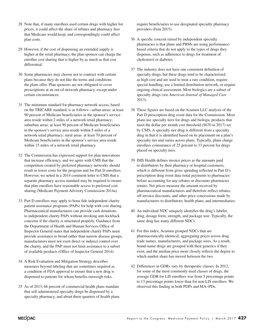- 28 Note that, if many enrollees used certain drugs with higher list prices, it could affect the share of rebates and pharmacy fees that Medicare would keep, and correspondingly could affect plan costs.
- 29 However, if the cost of dispensing an extended supply is higher at the retail pharmacy, the plan sponsor can charge the enrollee cost sharing that is higher by as much as that cost differential.
- 30 Some pharmacies may choose not to contract with certain plans because they do not like the terms and conditions the plans offer. Plan sponsors are not obligated to cover prescriptions at an out-of-network pharmacy, except under certain circumstances.
- 31 The minimum standard for pharmacy network access, based on the TRICARE standard, is as follows—urban areas: at least 90 percent of Medicare beneficiaries in the sponsor's service area reside within 2 miles of a network retail pharmacy; suburban areas: at least 90 percent of Medicare beneficiaries in the sponsor's service area reside within 5 miles of a network retail pharmacy; rural areas: at least 70 percent of Medicare beneficiaries in the sponsor's service area reside within 15 miles of a network retail pharmacy.
- 32 The Commission has expressed support for plan innovations that increase efficiency, and we agree with CMS that the competition created by preferred pharmacy networks should result in lower costs for the program and for Part D enrollees. However, we noted in a 2014 comment letter to CMS that a separate pharmacy access standard may be required to ensure that plan enrollees have reasonable access to preferred cost sharing (Medicare Payment Advisory Commission 2014a).
- 33 Part D enrollees may apply to bona fide independent charity patient assistance programs (PAPs) for help with cost sharing. Pharmaceutical manufacturers can provide cash donations to independent charity PAPs without invoking anti-kickback concerns if the charity is structured properly. Guidance from the Department of Health and Human Services Office of Inspector General states that independent charity PAPs must provide assistance to broad rather than narrow disease groups, manufacturers must not exert direct or indirect control over the charity, and the PAP must not limit assistance to a subset of available products (Office of Inspector General 2014).
- 34 A Risk Evaluation and Mitigation Strategy describes measures beyond labeling that are sometimes required as a condition of FDA approval to ensure that a new drug is dispensed to patients for whom benefits outweigh risks.
- 35 As of 2013, 66 percent of commercial health plans mandate that self-administered specialty drugs be dispensed by a specialty pharmacy, and about three-quarters of health plans

require beneficiaries to use designated specialty pharmacy providers (Fein 2015).

- 36 A specific concern raised by independent specialty pharmacies is that plans and PBMs are using performancebased criteria that do not apply to the types of drugs they dispense, such as adherence to drugs for treatment of cholesterol or diabetes.
- 37 The industry does not have one consistent definition of specialty drugs, but these drugs tend to be characterized as high cost and are used to treat a rare condition, require special handling, use a limited distribution network, or require ongoing clinical assessment. Most biologics are a subset of specialty drugs (see *American Journal of Managed Care* 2013).
- 38 These figures are based on the Acumen LLC analysis of the Part D prescription drug event data for the Commission. Most plans use specialty tiers for drugs and biologic products that meet the dollar per month cost threshold (\$670 in 2017) set by CMS. A specialty-tier drug is different from a specialty drug in that it is identified based on its placement on a plan's specialty tier and varies across plans. Typically, plans charge enrollees coinsurance of 25 percent to 33 percent for drugs placed on specialty tiers.
- 39 IMS Health defines invoice prices as the amounts paid to distributors by their pharmacy or hospital customers, which is different from gross spending reflected in Part D's prescription drug event data (total payments to pharmacies before accounting for any rebates or discounts pharmacies retain). Net prices measure the amount received by pharmaceutical manufacturers and therefore reflect rebates, off-invoice discounts, and other price concessions made by manufacturers to distributors, health plans, and intermediaries.
- 40 An individual NDC uniquely identifies the drug's labeler, drug, dosage form, strength, and package size. Typically, the same drug has many different NDCs.
- 41 For this index, Acumen grouped NDCs that are pharmaceutically identical, aggregating prices across drug trade names, manufacturers, and package sizes. As a result, brand-name drugs are grouped with their generics if they exist, and the median price more closely reflects the degree to which market share has moved between the two.
- 42 Differences in GDRs vary by therapeutic classes. In 2012, for some of the most commonly used classes of drugs, the average GDR for LIS enrollees was from 5 percentage points to 13 percentage points lower than for non-LIS enrollees. We observed this finding in both PDPs and MA−PDs.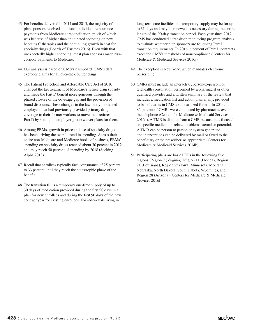- 43 For benefits delivered in 2014 and 2015, the majority of the plan sponsors received additional individual reinsurance payments from Medicare at reconciliation, much of which was because of higher than anticipated spending on new hepatitis C therapies and the continuing growth in cost for specialty drugs (Boards of Trustees 2016). Even with that unexpectedly higher spending, most plan sponsors made riskcorridor payments to Medicare.
- 44 Our analysis is based on CMS's dashboard. CMS's data excludes claims for all over-the-counter drugs.
- 45 The Patient Protection and Affordable Care Act of 2010 changed the tax treatment of Medicare's retiree drug subsidy and made the Part D benefit more generous through the phased closure of the coverage gap and the provision of brand discounts. These changes in the law likely motivated employers that had previously provided primary drug coverage to their former workers to move their retirees into Part D by setting up employer group waiver plans for them.
- 46 Among PBMs, growth in price and use of specialty drugs has been driving the overall trend in spending. Across their entire non-Medicare and Medicare books of business, PBMs' spending on specialty drugs reached about 30 percent in 2012 and may reach 50 percent of spending by 2018 (Seeking Alpha 2013).
- 47 Recall that enrollees typically face coinsurance of 25 percent to 33 percent until they reach the catastrophic phase of the benefit.
- 48 The transition fill is a temporary one-time supply of up to 30 days of medication provided during the first 90 days in a plan for new enrollees and during the first 90 days of the new contract year for existing enrollees. For individuals living in

long-term care facilities, the temporary supply may be for up to 31 days and may be renewed as necessary during the entire length of the 90-day transition period. Each year since 2012, CMS has conducted a transition monitoring program analysis to evaluate whether plan sponsors are following Part D transition requirements. In 2016, 6 percent of Part D contracts exceeded CMS's thresholds of noncompliance (Centers for Medicare & Medicaid Services 2016j).

- 49 The exception is New York, which mandates electronic prescribing.
- 50 CMRs must include an interactive, person-to-person, or telehealth consultation performed by a pharmacist or other qualified provider and a written summary of the review that includes a medication list and action plan, if any, provided to beneficiaries in CMS's standardized format. In 2014, 85 percent of CMRs were conducted by pharmacists over the telephone (Centers for Medicare & Medicaid Services 2016k). A TMR is distinct from a CMR because it is focused on specific medication-related problems, actual or potential. A TMR can be person to person or system generated, and interventions can be delivered by mail or faxed to the beneficiary or the prescriber, as appropriate (Centers for Medicare & Medicaid Services 2014b).
- 51 Participating plans are basic PDPs in the following five regions: Region 7 (Virginia), Region 11 (Florida), Region 21 (Louisiana), Region 25 (Iowa, Minnesota, Montana, Nebraska, North Dakota, South Dakota, Wyoming), and Region 28 (Arizona) (Centers for Medicare & Medicaid Services 2016l).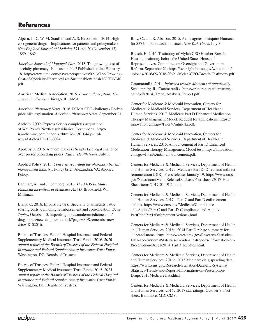# **References**

Alpern, J. D., W. M. Stauffer, and A. S. Kesselheim. 2014. Highcost generic drugs—Implications for patients and policymakers. *New England Journal of Medicine* 371, no. 20 (November 13): 1859–1862.

*American Journal of Managed Care*. 2013. The growing cost of specialty pharmacy: Is it sustainable? Published online February 18. http://www.ajmc.com/payer-perspectives/0213/The-Growing-Cost-of-Specialty-PharmacyIs-it-Sustainable#sthash.JGUiDV3K. pdf.

American Medical Association. 2015. *Prior authorization: The current landscape.* Chicago, IL: AMA.

*American Pharmacy News.* 2016. PCMA CEO challenges EpiPen price hike explanation. *American Pharmacy News*, September 21.

Anthem. 2009. Express Scripts completes acquisition of WellPoint's NextRx subsidiaries. December 1. http:// ir.antheminc.com/phoenix.zhtml?c=130104&p=irolnewsArticle&ID=1360094.

Appleby, J. 2016. Anthem, Express Scripts face legal challenge over prescription drug prices. *Kaiser Health News*, July 1.

Applied Policy. 2015. *Concerns regarding the pharmacy benefit management industry*. Policy brief. Alexandria, VA: Applied Policy.

Barnhart, A., and J. Gomberg. 2016. *The AIDS Institute: Financial incentives in Medicare Part D*. Brookfield, WI: Milliman.

Blank, C. 2016. Impossible task: Specialty pharmacists battle soaring costs, dwindling reimbursement and consolidation. *Drug Topics*, October 10. http://drugtopics.modernmedicine.com/ drug-topics/news/impossible-task?page=0,0&rememberme=1 &ts=18102016.

Boards of Trustees, Federal Hospital Insurance and Federal Supplementary Medical Insurance Trust Funds. 2016. *2016 annual report of the Boards of Trustees of the Federal Hospital Insurance and Federal Supplementary Insurance Trust Funds.* Washington, DC: Boards of Trustees.

Boards of Trustees, Federal Hospital Insurance and Federal Supplementary Medical Insurance Trust Funds. 2015. *2015 annual report of the Boards of Trustees of the Federal Hospital Insurance and Federal Supplementary Insurance Trust Funds.* Washington, DC: Boards of Trustees.

Bray, C., and R. Abelson. 2015. Aetna agrees to acquire Humana for \$37 billion in cash and stock. *New York Times*, July 3.

Bresch, H. 2016. Testimony of Mylan CEO Heather Bresch. Hearing testimony before the United States House of Representatives, Committee on Oversight and Government Reform. September 21. https://oversight.house.gov/wp-content/ uploads/2016/09/2016-09-21-Mylan-CEO-Bresch-Testimony.pdf.

CatamaranRx. 2014. *Informed trends: Moments of opportunity*. Schaumburg, IL: CatamaranRx. https://trendreport.catamaranrx. com/pdf/2014\_Trend\_Analysis\_Report.pdf.

Center for Medicare & Medicaid Innovation, Centers for Medicare & Medicaid Services, Department of Health and Human Services. 2017. Medicare Part D Enhanced Medication Therapy Management Model: Request for applications. https:// innovation.cms.gov/Files/x/mtm-rfa.pdf.

Center for Medicare & Medicaid Innovation, Centers for Medicare & Medicaid Services, Department of Health and Human Services. 2015. Announcement of Part D Enhanced Medication Therapy Management Model test. https://innovation. cms.gov/Files/x/mtm-announcement.pdf.

Centers for Medicare & Medicaid Services, Department of Health and Human Services. 2017a. Medicare Part D: Direct and indirect remuneration (DIR). Press release. January 19. https://www.cms. gov/Newsroom/MediaReleaseDatabase/Fact-sheets/2017-Fact-Sheet-items/2017-01-19-2.html.

Centers for Medicare & Medicaid Services, Department of Health and Human Services. 2017b. Part C and Part D enforcement actions. https://www.cms.gov/Medicare/Complianceand-Audits/Part-C-and-Part-D-Compliance-and-Audits/ PartCandPartDEnforcementActions-.html.

Centers for Medicare & Medicaid Services, Department of Health and Human Services. 2016a. 2014 Part D rebate summary for all brand-name drugs. https://www.cms.gov/Research-Statistics-Data-and-Systems/Statistics-Trends-and-Reports/Information-on-Prescription-Drugs/2014\_PartD\_Rebates.html.

Centers for Medicare & Medicaid Services, Department of Health and Human Services. 2016b. 2015 Medicare drug spending data. https://www.cms.gov/Research-Statistics-Data-and-Systems/ Statistics-Trends-and-Reports/Information-on-Prescription-Drugs/2015MedicareData.html.

Centers for Medicare & Medicaid Services, Department of Health and Human Services. 2016c. 2017 star ratings. October 7. Fact sheet. Baltimore, MD: CMS.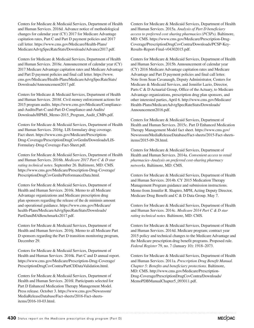Centers for Medicare & Medicaid Services, Department of Health and Human Services. 2016d. Advance notice of methodological changes for calendar year (CY) 2017 for Medicare Advantage capitation rates, Part C and Part D payment policies and 2017 call letter. https://www.cms.gov/Medicare/Health-Plans/ MedicareAdvtgSpecRateStats/Downloads/Advance2017.pdf.

Centers for Medicare & Medicaid Services, Department of Health and Human Services. 2016e. Announcement of calendar year (CY) 2017 Medicare Advantage capitation rates and Medicare Advantage and Part D payment policies and final call letter. https://www. cms.gov/Medicare/Health-Plans/MedicareAdvtgSpecRateStats/ Downloads/Announcement2017.pdf.

Centers for Medicare & Medicaid Services, Department of Health and Human Services. 2016f. Civil money enforcement actions for 2015 program audits. https://www.cms.gov/Medicare/Complianceand-Audits/Part-C-and-Part-D-Compliance-and-Audits/ Downloads/HPMS\_Memo-2015\_Program\_Audit\_CMPs.pdf.

Centers for Medicare & Medicaid Services, Department of Health and Human Services. 2016g. LIS formulary drug coverage. Fact sheet. https://www.cms.gov/Medicare/Prescription-Drug-Coverage/PrescriptionDrugCovGenIn/Downloads/LIS-Formulary-Drug-Coverage-Fact-Sheet.pdf.

Centers for Medicare & Medicaid Services, Department of Health and Human Services. 2016h. *Medicare 2017 Part C & D star rating technical notes*. September 26. Baltimore, MD: CMS. https://www.cms.gov/Medicare/Prescription-Drug-Coverage/ PrescriptionDrugCovGenIn/PerformanceData.html.

Centers for Medicare & Medicaid Services, Department of Health and Human Services. 2016i. Memo to all Medicare Advantage organizations and Medicare prescription drug plan sponsors regarding the release of the de minimis amount and operational guidance. https://www.cms.gov/Medicare/ health-Plans/MedicareAdvtgSpecRateStats/Downloads/ PartDandMABenchmarks2017.pdf.

Centers for Medicare & Medicaid Services, Department of Health and Human Services. 2016j. Memo to all Medicare Part D sponsors regarding the Part D transition monitoring program, December 29.

Centers for Medicare & Medicaid Services, Department of Health and Human Services. 2016k. Part C and D annual report. https://www.cms.gov/Medicare/Prescription-Drug-Coverage/ PrescriptionDrugCovContra/PartCDDataValidation.html.

Centers for Medicare & Medicaid Services, Department of Health and Human Services. 2016l. Participants selected for Part D Enhanced Medication Therapy Management Model. Press release. October 3. https://www.cms.gov/Newsroom/ MediaReleaseDatabase/Fact-sheets/2016-Fact-sheetsitems/2016-10-03.html.

Centers for Medicare & Medicaid Services, Department of Health and Human Services. 2015a. *Analysis of Part D beneficiary access to preferred cost sharing pharmacies (PCSPs).* Baltimore, MD: CMS. https://www.cms.gov/Medicare/Prescription-Drug-Coverage/PrescriptionDrugCovContra/Downloads/PCSP-Key-Results-Report-Final-v04302015.pdf.

Centers for Medicare & Medicaid Services, Department of Health and Human Services. 2015b. Announcement of calendar year (CY) 2016 Medicare Advantage capitation rates and Medicare Advantage and Part D payment policies and final call letter. Note from Sean Cavanaugh, Deputy Administrator, Centers for Medicare & Medicaid Services, and Jennifer Lazio, Director, Parts C & D Actuarial Group, Office of the Actuary, to Medicare Advantage organizations, prescription drug plan sponsors, and other interested parties, April 6. http://www.cms.gov/Medicare/ Health-Plans/MedicareAdvtgSpecRateStats/Downloads/ Announcement2016.pdf.

Centers for Medicare & Medicaid Services, Department of Health and Human Services. 2015c. Part D Enhanced Medication Therapy Management Model fact sheet. https://www.cms.gov/ Newsroom/MediaReleaseDatabase/Fact-sheets/2015-Fact-sheetsitems/2015-09-28.html.

Centers for Medicare & Medicaid Services, Department of Health and Human Services. 2014a. *Convenient access to retail pharmacies–Analysis on preferred cost-sharing pharmacy networks.* Baltimore, MD: CMS.

Centers for Medicare & Medicaid Services, Department of Health and Human Services. 2014b. CY 2015 Medication Therapy Management Program guidance and submission instructions. Memo from Jennifer R. Shapiro, MPH, Acting Deputy Director, Medicare Drug Benefit and C & D Data Group. May 7.

Centers for Medicare & Medicaid Services, Department of Health and Human Services. 2014c. *Medicare 2014 Part C & D star rating technical notes.* Baltimore, MD: CMS.

Centers for Medicare & Medicaid Services, Department of Health and Human Services. 2014d. Medicare program; contract year 2015 policy and technical changes to the Medicare Advantage and the Medicare prescription drug benefit programs. Proposed rule. *Federal Register* 79, no. 7 (January 10): 1918–2073.

Centers for Medicare & Medicaid Services, Department of Health and Human Services. 2011a. *Prescription Drug Benefit Manual. Chapter 5: Benefits and beneficiary protections.* Baltimore, MD: CMS. http://www.cms.gov/Medicare/Prescription-Drug-Coverage/PrescriptionDrugCovContra/Downloads/ MemoPDBManualChapter5\_093011.pdf.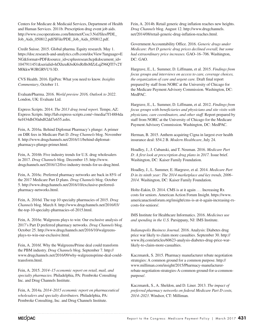Centers for Medicare & Medicaid Services, Department of Health and Human Services. 2011b. Prescription drug event job aids. http://www.csscoperations.com/Internet/Cssc3.Nsf/files/PDE\_ Job\_Aids\_050812.pdf/\$File/PDE\_Job\_Aids\_050812.pdf.

Credit Suisse. 2015. Global pharma. Equity research. May 1. https://doc.research-and-analytics.csfb.com/docView?language=E NG&format=PDF&source\_id=csplusresearchcp&document\_id= 1047911451&serialid=hfXhzuK6sK6xRrBsMZzLqZ96QTl7v2Y M0kkwWJRGRVU%3D.

CVS Health. 2016. EpiPen: What you need to know. *Insights Commentary*, October 11.

EvaluatePharma. 2016. *World preview 2016, Outlook to 2022*. London, UK: Evaluate Ltd.

Express Scripts. 2014. *The 2013 drug trend report.* Tempe, AZ: Express Scripts. http://lab.express-scripts.com/~/media/7f14884da 6ef434dbf30abd82dd7e655.ashx.

Fein, A. 2016a. Behind Diplomat Pharmacy's plunge: A primer on DIR fees in Medicare Part D. *Drug Channels* blog. November 8. http://www.drugchannels.net/2016/11/behind-diplomatpharmacys-plunge-primer.html.

Fein, A. 2016b. Five industry trends for U.S. drug wholesalers in 2017. *Drug Channels* blog. December 15. http://www. drugchannels.net/2016/12/five-industry-trends-for-us-drug.html.

Fein, A. 2016c. Preferred pharmacy networks are back in 85% of the 2017 Medicare Part D plans. *Drug Channels* blog. October 5. http://www.drugchannels.net/2016/10/exclusive-preferredpharmacy-networks.html.

Fein, A. 2016d. The top 10 specialty pharmacies of 2015. *Drug Channels* blog. March 8. http://www.drugchannels.net/2016/03/ the-top-10-specialty-pharmacies-of-2015.html.

Fein, A. 2016e. Walgreens plays to win: Our exclusive analysis of 2017's Part D preferred pharmacy networks. *Drug Channels* blog. October 25. http://www.drugchannels.net/2016/10/walgreensplays-to-win-our-exclusive.html.

Fein, A. 2016f. Why the Walgreens/Prime deal could transform the PBM industry. *Drug Channels* blog. September 7. http:// www.drugchannels.net/2016/09/why-walgreensprime-deal-couldtransform.html.

Fein, A. 2015. *2014–15 economic report on retail, mail, and specialty pharmacies.* Philadelphia, PA: Pembroke Consulting Inc. and Drug Channels Institute.

Fein, A. 2014a. *2014–2015 economic report on pharmaceutical wholesalers and specialty distributors.* Philadelphia, PA: Pembroke Consulting, Inc. and Drug Channels Institute.

Fein, A. 2014b. Retail generic drug inflation reaches new heights. *Drug Channels* blog. August 12. http://www.drugchannels. net/2014/08/retail-generic-drug-inflation-reaches.html.

Government Accountability Office. 2016. *Generic drugs under Medicare: Part D generic drug prices declined overall, but some had extraordinary price increases.* GAO–16–706. Washington, DC: GAO.

Hargrave, E., L. Summer, D. Liffmann, et al. 2015. *Findings from focus groups and interviews on access to care, coverage choices, the organization of care and urgent care.* Draft final report prepared by staff from NORC at the University of Chicago for the Medicare Payment Advisory Commission. Washington, DC: MedPAC.

Hargrave, E., L. Summer, D. Liffmann, et al. 2012. *Findings from focus groups with beneficiaries and physicians and site visits with physicians, care coordinators, and other staff.* Report prepared by staff from NORC at the University of Chicago for the Medicare Payment Advisory Commission. Washington, DC: MedPAC.

Herman, B. 2015. Anthem acquiring Cigna in largest ever health insurance deal: \$54.2 B. *Modern Healthcare*, July 24.

Hoadley, J., J. Cubanski, and T. Neuman. 2016. *Medicare Part D: A first look at prescription drug plans in 2017.* Issue brief. Washington, DC: Kaiser Family Foundation.

Hoadley, J., L. Summer, E. Hargrave, et al. 2014. *Medicare Part D in its ninth year: The 2014 marketplace and key trends, 2006– 2014.* Washington, DC: Kaiser Family Foundation.

Holtz-Eakin, D. 2014. CMS is at it again . . . Increasing Rx costs for seniors. American Action Forum Insight. https://www. americanactionforum.org/insight/cms-is-at-it-again-increasing-rxcosts-for-seniors/.

IMS Institute for Healthcare Informatics. 2016. *Medicines use and spending in the U.S.* Parsippany, NJ: IMS Institute.

*Indianapolis Business Journal.* 2016. Analysis: Diabetes drug price war likely to claim more casualties. September 30. http:// www.ibj.com/articles/60623-analysis-diabetes-drug-price-warlikely-to-claim-more-casualties.

Kaczmarek, S. 2015. Pharmacy manufacturer rebate negotiation strategies: A common ground for a common purpose. http:// www.milliman.com/insight/2015/Pharmacy-manufacturerrebate-negotiation-strategies-A-common-ground-for-a-commonpurpose/.

Kaczmarek, S., A. Sheldon, and D. Liner. 2013. *The impact of preferred pharmacy networks on federal Medicare Part D costs, 2014–2023*. Windsor, CT: Milliman.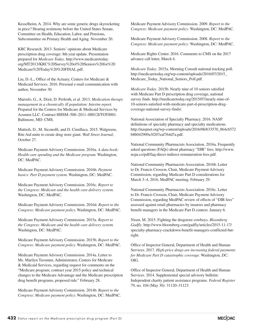Kesselheim, A. 2014. Why are some generic drugs skyrocketing in price? Hearing testimony before the United States Senate, Committee on Health, Education, Labor, and Pensions, Subcommittee on Primary Health and Aging. November 20.

KRC Research. 2013. Seniors' opinions about Medicare prescription drug coverage: 8th year update. Presentation prepared for *Medicare Today*. http://www.medicaretoday. org/MT2013/KRC%20Survey%20of%20Seniors%20for%20 Medicare%20Today%20%20FINAL.pdf.

Liu, D.-L., Office of the Actuary, Centers for Medicare & Medicaid Services. 2016. Personal e-mail communication with author, November 30.

Marrufo, G., A. Dixit, D. Perlroth, et al. 2013. *Medication therapy management in a chronically ill population: Interim report.* Prepared for the Centers for Medicare & Medicaid Services by Acumen LLC. Contract HHSM–500–2011–00012I/TOT0001. Baltimore, MD: CMS.

Mattioli, D., M. Siconolfi, and D. Cimilluca. 2015. Walgreens, Rite Aid unite to create drug store giant. *Wall Street Journal*, October 27.

Medicare Payment Advisory Commission. 2016a. *A data book: Health care spending and the Medicare program.* Washington, DC: MedPAC.

Medicare Payment Advisory Commission. 2016b. *Payment basics: Part D payment system.* Washington, DC: MedPAC.

Medicare Payment Advisory Commission. 2016c. *Report to the Congress: Medicare and the health care delivery system.* Washington, DC: MedPAC.

Medicare Payment Advisory Commission. 2016d. *Report to the Congress: Medicare payment policy.* Washington, DC: MedPAC.

Medicare Payment Advisory Commission. 2015a. *Report to the Congress: Medicare and the health care delivery system.*  Washington, DC: MedPAC.

Medicare Payment Advisory Commission. 2015b. *Report to the Congress: Medicare payment policy.* Washington, DC: MedPAC.

Medicare Payment Advisory Commission. 2014a. Letter to Ms. Marilyn Tavenner, Administrator, Centers for Medicare & Medicaid Services, regarding request for comments on the "Medicare program; contract year 2015 policy and technical changes to the Medicare Advantage and the Medicare prescription drug benefit programs, proposed rule." February 28.

Medicare Payment Advisory Commission. 2014b. *Report to the Congress: Medicare payment policy.* Washington, DC: MedPAC. Medicare Payment Advisory Commission. 2009. *Report to the Congress: Medicare payment policy*. Washington, DC: MedPAC.

Medicare Payment Advisory Commission. 2008. *Report to the Congress: Medicare payment policy*. Washington, DC: MedPAC.

Medicare Rights Center. 2016. Comments to CMS on the 2017 advance call letter, March 4.

*Medicare Today*. 2015a. Morning Consult national tracking poll. http://medicaretoday.org/wp-content/uploads/2016/07/2015\_ Medicare\_Today\_National\_Seniors\_Poll.pdf.

*Medicare Today*. 2015b. Nearly nine of 10 seniors satisfied with Medicare Part D prescription drug coverage, national survey finds. http://medicaretoday.org/2015/07/nearly-nine-of-10-seniors-satisfied-with-medicare-part-d-prescription-drugcoverage-national-survey-finds/.

National Association of Specialty Pharmacy. 2016. NASP definitions of specialty pharmacy and specialty medications. http://naspnet.org/wp-content/uploads/2016/06/633570\_864cb572 b8b042909a3f207eaf764d7a.pdf.

National Community Pharmacists Association. 2016a. Frequently asked questions (FAQs) about pharmacy "DIR" fees. http://www. ncpa.co/pdf/faq-direct-indirect-remuneration-fees.pdf.

National Community Pharmacists Association. 2016b. Letter to Dr. Francis Crosson, Chair, Medicare Payment Advisory Commission, regarding Medicare Part D considerations for March 3–4, 2016, MedPAC meeting. February 29.

National Community Pharmacists Association. 2016c. Letter to Dr. Francis Crosson, Chair, Medicare Payment Advisory Commission, regarding MedPAC review of effects of "DIR fees" assessed against retail pharmacies by insurers and pharmacy benefit managers in the Medicare Part D context. January 6.

Nisen, M. 2015. Fighting the drugstore cowboys. *Bloomberg Gadfly*. http://www.bloomberg.com/gadfly/articles/2015-11-17/ specialty-pharmacy-crackdown-benefit-managers-conflicted-butright.

Office of Inspector General, Department of Health and Human Services. 2017. *High-price drugs are increasing federal payments for Medicare Part D catastrophic coverage*. Washington, DC: OIG.

Office of Inspector General, Department of Health and Human Services. 2014. Supplemental special advisory bulletin: Independent charity patient assistance programs. *Federal Register* 79, no. 104 (May 30): 31120–31123.